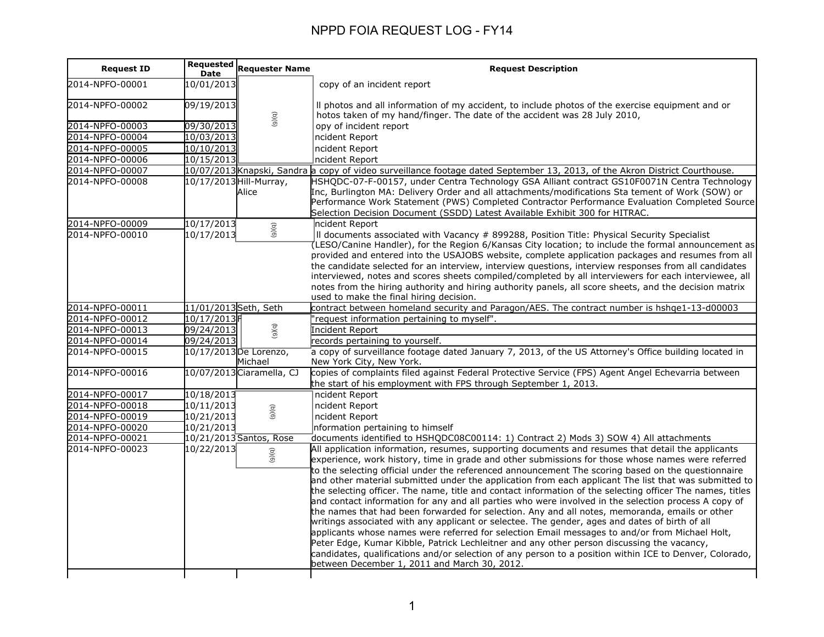| <b>Request ID</b> | <b>Requested</b><br><b>Date</b> | <b>Requester Name</b>             | <b>Request Description</b>                                                                                                                                                                                                                                                                                                                                                                                                                                                                                                                                                                                                                                                                                                                                                                                                                                                                                                                                                                                                                                                                                                                                                                                |
|-------------------|---------------------------------|-----------------------------------|-----------------------------------------------------------------------------------------------------------------------------------------------------------------------------------------------------------------------------------------------------------------------------------------------------------------------------------------------------------------------------------------------------------------------------------------------------------------------------------------------------------------------------------------------------------------------------------------------------------------------------------------------------------------------------------------------------------------------------------------------------------------------------------------------------------------------------------------------------------------------------------------------------------------------------------------------------------------------------------------------------------------------------------------------------------------------------------------------------------------------------------------------------------------------------------------------------------|
| 2014-NPFO-00001   | 10/01/2013                      |                                   | copy of an incident report                                                                                                                                                                                                                                                                                                                                                                                                                                                                                                                                                                                                                                                                                                                                                                                                                                                                                                                                                                                                                                                                                                                                                                                |
| 2014-NPFO-00002   | 09/19/2013                      | (9)(q)                            | Il photos and all information of my accident, to include photos of the exercise equipment and or<br>hotos taken of my hand/finger. The date of the accident was 28 July 2010,                                                                                                                                                                                                                                                                                                                                                                                                                                                                                                                                                                                                                                                                                                                                                                                                                                                                                                                                                                                                                             |
| 2014-NPFO-00003   | 09/30/2013                      |                                   | opy of incident report                                                                                                                                                                                                                                                                                                                                                                                                                                                                                                                                                                                                                                                                                                                                                                                                                                                                                                                                                                                                                                                                                                                                                                                    |
| 2014-NPFO-00004   | 10/03/2013                      |                                   | ncident Report                                                                                                                                                                                                                                                                                                                                                                                                                                                                                                                                                                                                                                                                                                                                                                                                                                                                                                                                                                                                                                                                                                                                                                                            |
| 2014-NPFO-00005   | 10/10/2013                      |                                   | ncident Report                                                                                                                                                                                                                                                                                                                                                                                                                                                                                                                                                                                                                                                                                                                                                                                                                                                                                                                                                                                                                                                                                                                                                                                            |
| 2014-NPFO-00006   | 10/15/2013                      |                                   | ncident Report                                                                                                                                                                                                                                                                                                                                                                                                                                                                                                                                                                                                                                                                                                                                                                                                                                                                                                                                                                                                                                                                                                                                                                                            |
| 2014-NPFO-00007   |                                 |                                   | 10/07/2013 Knapski, Sandra a copy of video surveillance footage dated September 13, 2013, of the Akron District Courthouse.                                                                                                                                                                                                                                                                                                                                                                                                                                                                                                                                                                                                                                                                                                                                                                                                                                                                                                                                                                                                                                                                               |
| 2014-NPFO-00008   |                                 | 10/17/2013 Hill-Murray,<br>Alice  | HSHQDC-07-F-00157, under Centra Technology GSA Alliant contract GS10F0071N Centra Technology<br>Inc, Burlington MA: Delivery Order and all attachments/modifications Sta tement of Work (SOW) or<br>Performance Work Statement (PWS) Completed Contractor Performance Evaluation Completed Source<br>Selection Decision Document (SSDD) Latest Available Exhibit 300 for HITRAC.                                                                                                                                                                                                                                                                                                                                                                                                                                                                                                                                                                                                                                                                                                                                                                                                                          |
| 2014-NPFO-00009   | 10/17/2013                      |                                   | ncident Report                                                                                                                                                                                                                                                                                                                                                                                                                                                                                                                                                                                                                                                                                                                                                                                                                                                                                                                                                                                                                                                                                                                                                                                            |
| 2014-NPFO-00010   | 10/17/2013                      | (9)(q)                            | II documents associated with Vacancy # 899288, Position Title: Physical Security Specialist<br>(LESO/Canine Handler), for the Region 6/Kansas City location; to include the formal announcement as<br>provided and entered into the USAJOBS website, complete application packages and resumes from all<br>the candidate selected for an interview, interview questions, interview responses from all candidates<br>interviewed, notes and scores sheets compiled/completed by all interviewers for each interviewee, all<br>notes from the hiring authority and hiring authority panels, all score sheets, and the decision matrix<br>used to make the final hiring decision.                                                                                                                                                                                                                                                                                                                                                                                                                                                                                                                            |
| 2014-NPFO-00011   | 11/01/2013 Seth, Seth           |                                   | contract between homeland security and Paragon/AES. The contract number is hshqe1-13-d00003                                                                                                                                                                                                                                                                                                                                                                                                                                                                                                                                                                                                                                                                                                                                                                                                                                                                                                                                                                                                                                                                                                               |
| 2014-NPFO-00012   | 10/17/2013                      |                                   | 'request information pertaining to myself".                                                                                                                                                                                                                                                                                                                                                                                                                                                                                                                                                                                                                                                                                                                                                                                                                                                                                                                                                                                                                                                                                                                                                               |
| 2014-NPFO-00013   | 09/24/2013                      | (5)(6)                            | Incident Report                                                                                                                                                                                                                                                                                                                                                                                                                                                                                                                                                                                                                                                                                                                                                                                                                                                                                                                                                                                                                                                                                                                                                                                           |
| 2014-NPFO-00014   | 09/24/2013                      |                                   | records pertaining to yourself.                                                                                                                                                                                                                                                                                                                                                                                                                                                                                                                                                                                                                                                                                                                                                                                                                                                                                                                                                                                                                                                                                                                                                                           |
| 2014-NPFO-00015   |                                 | 10/17/2013 De Lorenzo,<br>Michael | a copy of surveillance footage dated January 7, 2013, of the US Attorney's Office building located in<br>New York City, New York.                                                                                                                                                                                                                                                                                                                                                                                                                                                                                                                                                                                                                                                                                                                                                                                                                                                                                                                                                                                                                                                                         |
| 2014-NPFO-00016   |                                 | 10/07/2013 Ciaramella, CJ         | copies of complaints filed against Federal Protective Service (FPS) Agent Angel Echevarria between<br>the start of his employment with FPS through September 1, 2013.                                                                                                                                                                                                                                                                                                                                                                                                                                                                                                                                                                                                                                                                                                                                                                                                                                                                                                                                                                                                                                     |
| 2014-NPFO-00017   | 10/18/2013                      |                                   | ncident Report                                                                                                                                                                                                                                                                                                                                                                                                                                                                                                                                                                                                                                                                                                                                                                                                                                                                                                                                                                                                                                                                                                                                                                                            |
| 2014-NPFO-00018   | 10/11/2013                      |                                   | ncident Report                                                                                                                                                                                                                                                                                                                                                                                                                                                                                                                                                                                                                                                                                                                                                                                                                                                                                                                                                                                                                                                                                                                                                                                            |
| 2014-NPFO-00019   | 10/21/2013                      | (9)(q)                            | ncident Report                                                                                                                                                                                                                                                                                                                                                                                                                                                                                                                                                                                                                                                                                                                                                                                                                                                                                                                                                                                                                                                                                                                                                                                            |
| 2014-NPFO-00020   | 10/21/2013                      |                                   | nformation pertaining to himself                                                                                                                                                                                                                                                                                                                                                                                                                                                                                                                                                                                                                                                                                                                                                                                                                                                                                                                                                                                                                                                                                                                                                                          |
| 2014-NPFO-00021   |                                 | 10/21/2013 Santos, Rose           | documents identified to HSHQDC08C00114: 1) Contract 2) Mods 3) SOW 4) All attachments                                                                                                                                                                                                                                                                                                                                                                                                                                                                                                                                                                                                                                                                                                                                                                                                                                                                                                                                                                                                                                                                                                                     |
| 2014-NPFO-00023   | 10/22/2013                      | (9)(q)                            | All application information, resumes, supporting documents and resumes that detail the applicants<br>experience, work history, time in grade and other submissions for those whose names were referred<br>to the selecting official under the referenced announcement The scoring based on the questionnaire<br>and other material submitted under the application from each applicant The list that was submitted to<br>the selecting officer. The name, title and contact information of the selecting officer The names, titles<br>and contact information for any and all parties who were involved in the selection process A copy of<br>the names that had been forwarded for selection. Any and all notes, memoranda, emails or other<br>writings associated with any applicant or selectee. The gender, ages and dates of birth of all<br>applicants whose names were referred for selection Email messages to and/or from Michael Holt,<br>Peter Edge, Kumar Kibble, Patrick Lechleitner and any other person discussing the vacancy,<br>candidates, qualifications and/or selection of any person to a position within ICE to Denver, Colorado,<br>between December 1, 2011 and March 30, 2012. |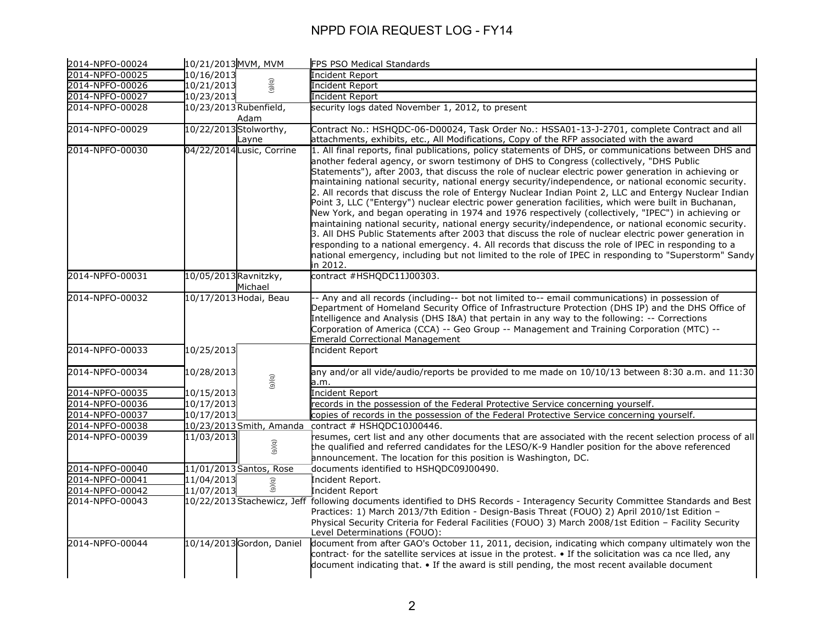| 2014-NPFO-00024 | 10/21/2013 MVM, MVM              | FPS PSO Medical Standards                                                                                                                                                                                                                                                                                                                                                                                                                                                                                                                                                                                                                                                                                                                                                                                                                                                                                                                                                                                                                                                                                                                                                              |
|-----------------|----------------------------------|----------------------------------------------------------------------------------------------------------------------------------------------------------------------------------------------------------------------------------------------------------------------------------------------------------------------------------------------------------------------------------------------------------------------------------------------------------------------------------------------------------------------------------------------------------------------------------------------------------------------------------------------------------------------------------------------------------------------------------------------------------------------------------------------------------------------------------------------------------------------------------------------------------------------------------------------------------------------------------------------------------------------------------------------------------------------------------------------------------------------------------------------------------------------------------------|
| 2014-NPFO-00025 | 10/16/2013                       | Incident Report                                                                                                                                                                                                                                                                                                                                                                                                                                                                                                                                                                                                                                                                                                                                                                                                                                                                                                                                                                                                                                                                                                                                                                        |
| 2014-NPFO-00026 | (9)(q)<br>10/21/2013             | <b>Incident Report</b>                                                                                                                                                                                                                                                                                                                                                                                                                                                                                                                                                                                                                                                                                                                                                                                                                                                                                                                                                                                                                                                                                                                                                                 |
| 2014-NPFO-00027 | 10/23/2013                       | <b>Incident Report</b>                                                                                                                                                                                                                                                                                                                                                                                                                                                                                                                                                                                                                                                                                                                                                                                                                                                                                                                                                                                                                                                                                                                                                                 |
| 2014-NPFO-00028 | 10/23/2013 Rubenfield,<br>Adam   | security logs dated November 1, 2012, to present                                                                                                                                                                                                                                                                                                                                                                                                                                                                                                                                                                                                                                                                                                                                                                                                                                                                                                                                                                                                                                                                                                                                       |
| 2014-NPFO-00029 | 10/22/2013 Stolworthy,<br>Layne  | Contract No.: HSHQDC-06-D00024, Task Order No.: HSSA01-13-J-2701, complete Contract and all<br>attachments, exhibits, etc., All Modifications, Copy of the RFP associated with the award                                                                                                                                                                                                                                                                                                                                                                                                                                                                                                                                                                                                                                                                                                                                                                                                                                                                                                                                                                                               |
| 2014-NPFO-00030 | 04/22/2014Lusic, Corrine         | 1. All final reports, final publications, policy statements of DHS, or communications between DHS and<br>another federal agency, or sworn testimony of DHS to Congress (collectively, "DHS Public<br>Statements"), after 2003, that discuss the role of nuclear electric power generation in achieving or<br>maintaining national security, national energy security/independence, or national economic security.<br>2. All records that discuss the role of Entergy Nuclear Indian Point 2, LLC and Entergy Nuclear Indian<br>Point 3, LLC ("Entergy") nuclear electric power generation facilities, which were built in Buchanan,<br>New York, and began operating in 1974 and 1976 respectively (collectively, "IPEC") in achieving or<br>maintaining national security, national energy security/independence, or national economic security.<br>3. All DHS Public Statements after 2003 that discuss the role of nuclear electric power generation in<br>responding to a national emergency. 4. All records that discuss the role of IPEC in responding to a<br>national emergency, including but not limited to the role of IPEC in responding to "Superstorm" Sandy<br>in 2012. |
| 2014-NPFO-00031 | 10/05/2013 Ravnitzky,<br>Michael | contract #HSHQDC11J00303.                                                                                                                                                                                                                                                                                                                                                                                                                                                                                                                                                                                                                                                                                                                                                                                                                                                                                                                                                                                                                                                                                                                                                              |
| 2014-NPFO-00032 | 10/17/2013 Hodai, Beau           | - Any and all records (including-- bot not limited to-- email communications) in possession of<br>Department of Homeland Security Office of Infrastructure Protection (DHS IP) and the DHS Office of<br>Intelligence and Analysis (DHS I&A) that pertain in any way to the following: -- Corrections<br>Corporation of America (CCA) -- Geo Group -- Management and Training Corporation (MTC) --<br><b>Emerald Correctional Management</b>                                                                                                                                                                                                                                                                                                                                                                                                                                                                                                                                                                                                                                                                                                                                            |
| 2014-NPFO-00033 | 10/25/2013                       | <b>Incident Report</b>                                                                                                                                                                                                                                                                                                                                                                                                                                                                                                                                                                                                                                                                                                                                                                                                                                                                                                                                                                                                                                                                                                                                                                 |
| 2014-NPFO-00034 | 10/28/2013<br>(6)(6)             | any and/or all vide/audio/reports be provided to me made on 10/10/13 between 8:30 a.m. and 11:30<br>a.m.                                                                                                                                                                                                                                                                                                                                                                                                                                                                                                                                                                                                                                                                                                                                                                                                                                                                                                                                                                                                                                                                               |
| 2014-NPFO-00035 | 10/15/2013                       | Incident Report                                                                                                                                                                                                                                                                                                                                                                                                                                                                                                                                                                                                                                                                                                                                                                                                                                                                                                                                                                                                                                                                                                                                                                        |
| 2014-NPFO-00036 | 10/17/2013                       | records in the possession of the Federal Protective Service concerning yourself.                                                                                                                                                                                                                                                                                                                                                                                                                                                                                                                                                                                                                                                                                                                                                                                                                                                                                                                                                                                                                                                                                                       |
| 2014-NPFO-00037 | 10/17/2013                       | copies of records in the possession of the Federal Protective Service concerning yourself.                                                                                                                                                                                                                                                                                                                                                                                                                                                                                                                                                                                                                                                                                                                                                                                                                                                                                                                                                                                                                                                                                             |
| 2014-NPFO-00038 |                                  | 10/23/2013 Smith, Amanda contract # HSHQDC10J00446.                                                                                                                                                                                                                                                                                                                                                                                                                                                                                                                                                                                                                                                                                                                                                                                                                                                                                                                                                                                                                                                                                                                                    |
| 2014-NPFO-00039 | 11/03/2013  <br>(9)(q)           | resumes, cert list and any other documents that are associated with the recent selection process of all<br>the qualified and referred candidates for the LESO/K-9 Handler position for the above referenced<br>announcement. The location for this position is Washington, DC.                                                                                                                                                                                                                                                                                                                                                                                                                                                                                                                                                                                                                                                                                                                                                                                                                                                                                                         |
| 2014-NPFO-00040 | 11/01/2013 Santos, Rose          | documents identified to HSHQDC09J00490.                                                                                                                                                                                                                                                                                                                                                                                                                                                                                                                                                                                                                                                                                                                                                                                                                                                                                                                                                                                                                                                                                                                                                |
| 2014-NPFO-00041 | 11/04/2013<br>$\widehat{\sigma}$ | Incident Report.                                                                                                                                                                                                                                                                                                                                                                                                                                                                                                                                                                                                                                                                                                                                                                                                                                                                                                                                                                                                                                                                                                                                                                       |
| 2014-NPFO-00042 | $\frac{6}{6}$<br>11/07/2013      | Incident Report                                                                                                                                                                                                                                                                                                                                                                                                                                                                                                                                                                                                                                                                                                                                                                                                                                                                                                                                                                                                                                                                                                                                                                        |
| 2014-NPFO-00043 |                                  | 10/22/2013 Stachewicz, Jeff following documents identified to DHS Records - Interagency Security Committee Standards and Best<br>Practices: 1) March 2013/7th Edition - Design-Basis Threat (FOUO) 2) April 2010/1st Edition -<br>Physical Security Criteria for Federal Facilities (FOUO) 3) March 2008/1st Edition - Facility Security<br>Level Determinations (FOUO):                                                                                                                                                                                                                                                                                                                                                                                                                                                                                                                                                                                                                                                                                                                                                                                                               |
| 2014-NPFO-00044 | 10/14/2013 Gordon, Daniel        | document from after GAO's October 11, 2011, decision, indicating which company ultimately won the<br>contract for the satellite services at issue in the protest. • If the solicitation was ca nce lled, any<br>document indicating that. • If the award is still pending, the most recent available document                                                                                                                                                                                                                                                                                                                                                                                                                                                                                                                                                                                                                                                                                                                                                                                                                                                                          |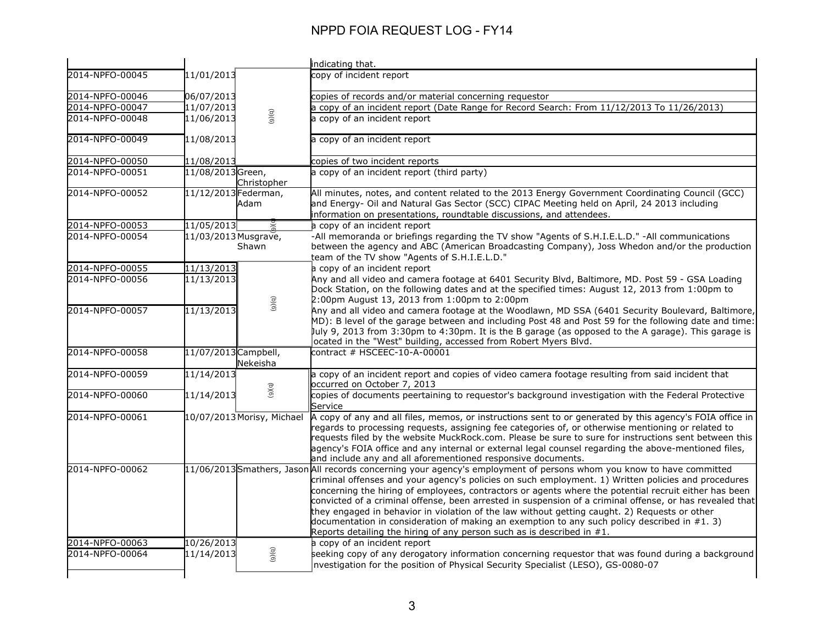|                 |                      |                            | indicating that.                                                                                                                                                                                                                                                                                                                                                                                                                                                                                                                                                                                                                                                                                                                  |
|-----------------|----------------------|----------------------------|-----------------------------------------------------------------------------------------------------------------------------------------------------------------------------------------------------------------------------------------------------------------------------------------------------------------------------------------------------------------------------------------------------------------------------------------------------------------------------------------------------------------------------------------------------------------------------------------------------------------------------------------------------------------------------------------------------------------------------------|
| 2014-NPFO-00045 | 11/01/2013           |                            | copy of incident report                                                                                                                                                                                                                                                                                                                                                                                                                                                                                                                                                                                                                                                                                                           |
| 2014-NPFO-00046 | 06/07/2013           |                            | copies of records and/or material concerning requestor                                                                                                                                                                                                                                                                                                                                                                                                                                                                                                                                                                                                                                                                            |
| 2014-NPFO-00047 | 11/07/2013           |                            | a copy of an incident report (Date Range for Record Search: From 11/12/2013 To 11/26/2013)                                                                                                                                                                                                                                                                                                                                                                                                                                                                                                                                                                                                                                        |
| 2014-NPFO-00048 | 11/06/2013           | (9)(9)                     | a copy of an incident report                                                                                                                                                                                                                                                                                                                                                                                                                                                                                                                                                                                                                                                                                                      |
| 2014-NPFO-00049 | 11/08/2013           |                            | a copy of an incident report                                                                                                                                                                                                                                                                                                                                                                                                                                                                                                                                                                                                                                                                                                      |
| 2014-NPFO-00050 | 11/08/2013           |                            | copies of two incident reports                                                                                                                                                                                                                                                                                                                                                                                                                                                                                                                                                                                                                                                                                                    |
| 2014-NPFO-00051 | 11/08/2013Green,     | Christopher                | a copy of an incident report (third party)                                                                                                                                                                                                                                                                                                                                                                                                                                                                                                                                                                                                                                                                                        |
| 2014-NPFO-00052 | 11/12/2013 Federman, | Adam                       | All minutes, notes, and content related to the 2013 Energy Government Coordinating Council (GCC)<br>and Energy- Oil and Natural Gas Sector (SCC) CIPAC Meeting held on April, 24 2013 including<br>information on presentations, roundtable discussions, and attendees.                                                                                                                                                                                                                                                                                                                                                                                                                                                           |
| 2014-NPFO-00053 | 11/05/2013           |                            | a copy of an incident report                                                                                                                                                                                                                                                                                                                                                                                                                                                                                                                                                                                                                                                                                                      |
| 2014-NPFO-00054 | 11/03/2013 Musgrave, | Shawn                      | -All memoranda or briefings regarding the TV show "Agents of S.H.I.E.L.D." -All communications<br>between the agency and ABC (American Broadcasting Company), Joss Whedon and/or the production<br>team of the TV show "Agents of S.H.I.E.L.D."                                                                                                                                                                                                                                                                                                                                                                                                                                                                                   |
| 2014-NPFO-00055 | 11/13/2013           |                            | a copy of an incident report                                                                                                                                                                                                                                                                                                                                                                                                                                                                                                                                                                                                                                                                                                      |
| 2014-NPFO-00056 | 11/13/2013           | (a)(6)                     | Any and all video and camera footage at 6401 Security Blvd, Baltimore, MD. Post 59 - GSA Loading<br>Dock Station, on the following dates and at the specified times: August 12, 2013 from 1:00pm to<br>2:00pm August 13, 2013 from 1:00pm to 2:00pm                                                                                                                                                                                                                                                                                                                                                                                                                                                                               |
| 2014-NPFO-00057 | 11/13/2013           |                            | Any and all video and camera footage at the Woodlawn, MD SSA (6401 Security Boulevard, Baltimore,<br>MD): B level of the garage between and including Post 48 and Post 59 for the following date and time:<br>July 9, 2013 from 3:30pm to 4:30pm. It is the B garage (as opposed to the A garage). This garage is<br>ocated in the "West" building, accessed from Robert Myers Blvd.                                                                                                                                                                                                                                                                                                                                              |
| 2014-NPFO-00058 | 11/07/2013 Campbell, | Nekeisha                   | contract # HSCEEC-10-A-00001                                                                                                                                                                                                                                                                                                                                                                                                                                                                                                                                                                                                                                                                                                      |
| 2014-NPFO-00059 | 11/14/2013           |                            | a copy of an incident report and copies of video camera footage resulting from said incident that<br>occurred on October 7, 2013                                                                                                                                                                                                                                                                                                                                                                                                                                                                                                                                                                                                  |
| 2014-NPFO-00060 | 11/14/2013           | (9)(q)                     | copies of documents peertaining to requestor's background investigation with the Federal Protective<br>Service                                                                                                                                                                                                                                                                                                                                                                                                                                                                                                                                                                                                                    |
| 2014-NPFO-00061 |                      | 10/07/2013 Morisy, Michael | A copy of any and all files, memos, or instructions sent to or generated by this agency's FOIA office in<br>regards to processing requests, assigning fee categories of, or otherwise mentioning or related to<br>requests filed by the website MuckRock.com. Please be sure to sure for instructions sent between this<br>agency's FOIA office and any internal or external legal counsel regarding the above-mentioned files,<br>and include any and all aforementioned responsive documents.                                                                                                                                                                                                                                   |
| 2014-NPFO-00062 |                      |                            | 11/06/2013 Smathers, Jason All records concerning your agency's employment of persons whom you know to have committed<br>criminal offenses and your agency's policies on such employment. 1) Written policies and procedures<br>concerning the hiring of employees, contractors or agents where the potential recruit either has been<br>convicted of a criminal offense, been arrested in suspension of a criminal offense, or has revealed that<br>they engaged in behavior in violation of the law without getting caught. 2) Requests or other<br>documentation in consideration of making an exemption to any such policy described in $#1.3$ )<br>Reports detailing the hiring of any person such as is described in $#1$ . |
| 2014-NPFO-00063 | 10/26/2013           |                            | a copy of an incident report                                                                                                                                                                                                                                                                                                                                                                                                                                                                                                                                                                                                                                                                                                      |
| 2014-NPFO-00064 | 11/14/2013           | (9)(9)                     | seeking copy of any derogatory information concerning requestor that was found during a background<br>nvestigation for the position of Physical Security Specialist (LESO), GS-0080-07                                                                                                                                                                                                                                                                                                                                                                                                                                                                                                                                            |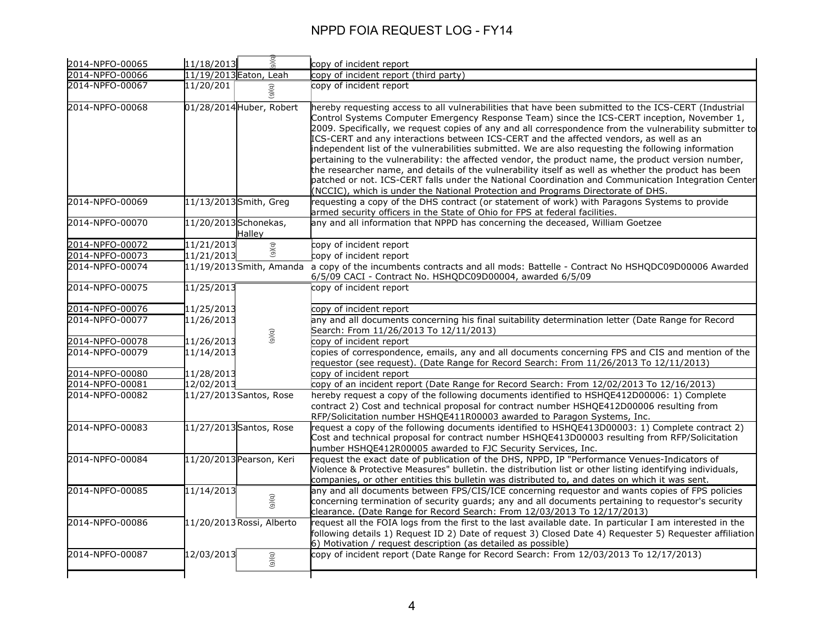|                 |                       |                           | copy of incident report                                                                                                                                                                                                                                                                                                                                                                                                                                                                                                                                                                                                                                                                                                                                                                                                                                                                                                   |
|-----------------|-----------------------|---------------------------|---------------------------------------------------------------------------------------------------------------------------------------------------------------------------------------------------------------------------------------------------------------------------------------------------------------------------------------------------------------------------------------------------------------------------------------------------------------------------------------------------------------------------------------------------------------------------------------------------------------------------------------------------------------------------------------------------------------------------------------------------------------------------------------------------------------------------------------------------------------------------------------------------------------------------|
| 2014-NPFO-00066 |                       | 11/19/2013 Eaton, Leah    | copy of incident report (third party)                                                                                                                                                                                                                                                                                                                                                                                                                                                                                                                                                                                                                                                                                                                                                                                                                                                                                     |
| 2014-NPFO-00067 | 11/20/201             | (9)(q)                    | copy of incident report                                                                                                                                                                                                                                                                                                                                                                                                                                                                                                                                                                                                                                                                                                                                                                                                                                                                                                   |
| 2014-NPFO-00068 |                       | 01/28/2014 Huber, Robert  | hereby requesting access to all vulnerabilities that have been submitted to the ICS-CERT (Industrial<br>Control Systems Computer Emergency Response Team) since the ICS-CERT inception, November 1,<br>2009. Specifically, we reguest copies of any and all correspondence from the vulnerability submitter to<br>ICS-CERT and any interactions between ICS-CERT and the affected vendors, as well as an<br>independent list of the vulnerabilities submitted. We are also requesting the following information<br>pertaining to the vulnerability: the affected vendor, the product name, the product version number,<br>the researcher name, and details of the vulnerability itself as well as whether the product has been<br>patched or not. ICS-CERT falls under the National Coordination and Communication Integration Center<br>(NCCIC), which is under the National Protection and Programs Directorate of DHS. |
| 2014-NPFO-00069 |                       | 11/13/2013 Smith, Greg    | requesting a copy of the DHS contract (or statement of work) with Paragons Systems to provide<br>armed security officers in the State of Ohio for FPS at federal facilities.                                                                                                                                                                                                                                                                                                                                                                                                                                                                                                                                                                                                                                                                                                                                              |
| 2014-NPFO-00070 | 11/20/2013 Schonekas, | Halley                    | any and all information that NPPD has concerning the deceased, William Goetzee                                                                                                                                                                                                                                                                                                                                                                                                                                                                                                                                                                                                                                                                                                                                                                                                                                            |
| 2014-NPFO-00072 | 11/21/2013            |                           | copy of incident report                                                                                                                                                                                                                                                                                                                                                                                                                                                                                                                                                                                                                                                                                                                                                                                                                                                                                                   |
| 2014-NPFO-00073 | 11/21/2013            | (5)(6)                    | copy of incident report                                                                                                                                                                                                                                                                                                                                                                                                                                                                                                                                                                                                                                                                                                                                                                                                                                                                                                   |
| 2014-NPFO-00074 |                       |                           | 11/19/2013 Smith, Amanda a copy of the incumbents contracts and all mods: Battelle - Contract No HSHQDC09D00006 Awarded<br>6/5/09 CACI - Contract No. HSHQDC09D00004, awarded 6/5/09                                                                                                                                                                                                                                                                                                                                                                                                                                                                                                                                                                                                                                                                                                                                      |
| 2014-NPFO-00075 | 11/25/2013            |                           | copy of incident report                                                                                                                                                                                                                                                                                                                                                                                                                                                                                                                                                                                                                                                                                                                                                                                                                                                                                                   |
| 2014-NPFO-00076 | 11/25/2013            |                           | copy of incident report                                                                                                                                                                                                                                                                                                                                                                                                                                                                                                                                                                                                                                                                                                                                                                                                                                                                                                   |
| 2014-NPFO-00077 | 11/26/2013            |                           | any and all documents concerning his final suitability determination letter (Date Range for Record<br>Search: From 11/26/2013 To 12/11/2013)                                                                                                                                                                                                                                                                                                                                                                                                                                                                                                                                                                                                                                                                                                                                                                              |
| 2014-NPFO-00078 | 11/26/2013            | (5)(6)                    | copy of incident report                                                                                                                                                                                                                                                                                                                                                                                                                                                                                                                                                                                                                                                                                                                                                                                                                                                                                                   |
| 2014-NPFO-00079 | 11/14/2013            |                           | copies of correspondence, emails, any and all documents concerning FPS and CIS and mention of the<br>requestor (see request). (Date Range for Record Search: From 11/26/2013 To 12/11/2013)                                                                                                                                                                                                                                                                                                                                                                                                                                                                                                                                                                                                                                                                                                                               |
| 2014-NPFO-00080 | 11/28/2013            |                           | copy of incident report                                                                                                                                                                                                                                                                                                                                                                                                                                                                                                                                                                                                                                                                                                                                                                                                                                                                                                   |
| 2014-NPFO-00081 | 12/02/2013            |                           | copy of an incident report (Date Range for Record Search: From 12/02/2013 To 12/16/2013)                                                                                                                                                                                                                                                                                                                                                                                                                                                                                                                                                                                                                                                                                                                                                                                                                                  |
| 2014-NPFO-00082 |                       | 11/27/2013 Santos, Rose   | hereby request a copy of the following documents identified to HSHQE412D00006: 1) Complete<br>contract 2) Cost and technical proposal for contract number HSHQE412D00006 resulting from<br>RFP/Solicitation number HSHQE411R00003 awarded to Paragon Systems, Inc.                                                                                                                                                                                                                                                                                                                                                                                                                                                                                                                                                                                                                                                        |
| 2014-NPFO-00083 |                       | 11/27/2013 Santos, Rose   | request a copy of the following documents identified to HSHQE413D00003: 1) Complete contract 2)<br>Cost and technical proposal for contract number HSHQE413D00003 resulting from RFP/Solicitation<br>number HSHQE412R00005 awarded to FJC Security Services, Inc.                                                                                                                                                                                                                                                                                                                                                                                                                                                                                                                                                                                                                                                         |
| 2014-NPFO-00084 |                       | 11/20/2013 Pearson, Keri  | request the exact date of publication of the DHS, NPPD, IP "Performance Venues-Indicators of<br>Violence & Protective Measures" bulletin. the distribution list or other listing identifying individuals,<br>companies, or other entities this bulletin was distributed to, and dates on which it was sent.                                                                                                                                                                                                                                                                                                                                                                                                                                                                                                                                                                                                               |
| 2014-NPFO-00085 | 11/14/2013            | (5)(6)                    | any and all documents between FPS/CIS/ICE concerning requestor and wants copies of FPS policies<br>concerning termination of security guards; any and all documents pertaining to requestor's security<br>clearance. (Date Range for Record Search: From 12/03/2013 To 12/17/2013)                                                                                                                                                                                                                                                                                                                                                                                                                                                                                                                                                                                                                                        |
| 2014-NPFO-00086 |                       | 11/20/2013 Rossi, Alberto | request all the FOIA logs from the first to the last available date. In particular I am interested in the<br>following details 1) Request ID 2) Date of request 3) Closed Date 4) Requester 5) Requester affiliation<br>6) Motivation / request description (as detailed as possible)                                                                                                                                                                                                                                                                                                                                                                                                                                                                                                                                                                                                                                     |
| 2014-NPFO-00087 | 12/03/2013            | (6)(6)                    | copy of incident report (Date Range for Record Search: From 12/03/2013 To 12/17/2013)                                                                                                                                                                                                                                                                                                                                                                                                                                                                                                                                                                                                                                                                                                                                                                                                                                     |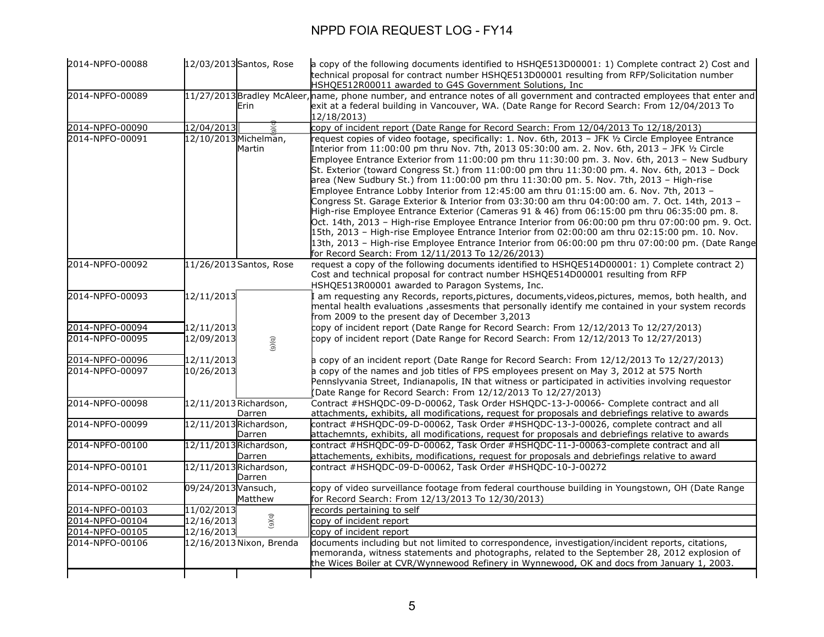| 2014-NPFO-00088                    |                          | 12/03/2013 Santos, Rose          | a copy of the following documents identified to HSHQE513D00001: 1) Complete contract 2) Cost and<br>technical proposal for contract number HSHQE513D00001 resulting from RFP/Solicitation number     |
|------------------------------------|--------------------------|----------------------------------|------------------------------------------------------------------------------------------------------------------------------------------------------------------------------------------------------|
|                                    |                          |                                  | HSHQE512R00011 awarded to G4S Government Solutions, Inc                                                                                                                                              |
| 2014-NPFO-00089                    |                          |                                  | 11/27/2013 Bradley McAleer, name, phone number, and entrance notes of all government and contracted employees that enter and                                                                         |
|                                    |                          | Erin                             | exit at a federal building in Vancouver, WA. (Date Range for Record Search: From 12/04/2013 To                                                                                                       |
|                                    |                          |                                  | 12/18/2013)                                                                                                                                                                                          |
| 2014-NPFO-00090                    | 12/04/2013               |                                  | copy of incident report (Date Range for Record Search: From 12/04/2013 To 12/18/2013)                                                                                                                |
| 2014-NPFO-00091                    |                          | 12/10/2013 Michelman,<br>Martin  | request copies of video footage, specifically: 1. Nov. 6th, 2013 - JFK 1/2 Circle Employee Entrance<br>Interior from 11:00:00 pm thru Nov. 7th, 2013 05:30:00 am. 2. Nov. 6th, 2013 - JFK 1/2 Circle |
|                                    |                          |                                  | Employee Entrance Exterior from 11:00:00 pm thru 11:30:00 pm. 3. Nov. 6th, 2013 - New Sudbury                                                                                                        |
|                                    |                          |                                  | St. Exterior (toward Congress St.) from 11:00:00 pm thru 11:30:00 pm. 4. Nov. 6th, 2013 - Dock                                                                                                       |
|                                    |                          |                                  | area (New Sudbury St.) from $11:00:00$ pm thru $11:30:00$ pm. 5. Nov. 7th, 2013 - High-rise                                                                                                          |
|                                    |                          |                                  | Emplovee Entrance Lobby Interior from 12:45:00 am thru 01:15:00 am, 6, Nov, 7th, 2013 -                                                                                                              |
|                                    |                          |                                  | Congress St. Garage Exterior & Interior from $03:30:00$ am thru $04:00:00$ am. 7. Oct. 14th, 2013 -                                                                                                  |
|                                    |                          |                                  | High-rise Employee Entrance Exterior (Cameras 91 & 46) from 06:15:00 pm thru 06:35:00 pm. 8.                                                                                                         |
|                                    |                          |                                  | Oct. 14th, 2013 - High-rise Employee Entrance Interior from 06:00:00 pm thru 07:00:00 pm. 9. Oct.                                                                                                    |
|                                    |                          |                                  | 15th, 2013 - High-rise Employee Entrance Interior from 02:00:00 am thru 02:15:00 pm. 10. Nov.                                                                                                        |
|                                    |                          |                                  | 13th, 2013 - High-rise Employee Entrance Interior from 06:00:00 pm thru 07:00:00 pm. (Date Range                                                                                                     |
| 2014-NPFO-00092                    |                          | 11/26/2013 Santos, Rose          | for Record Search: From 12/11/2013 To 12/26/2013)<br>request a copy of the following documents identified to HSHQE514D00001: 1) Complete contract 2)                                                 |
|                                    |                          |                                  | Cost and technical proposal for contract number HSHQE514D00001 resulting from RFP                                                                                                                    |
|                                    |                          |                                  | HSHQE513R00001 awarded to Paragon Systems, Inc.                                                                                                                                                      |
| 2014-NPFO-00093                    | 12/11/2013               |                                  | I am requesting any Records, reports,pictures, documents,videos,pictures, memos, both health, and                                                                                                    |
|                                    |                          |                                  | mental health evaluations , assesments that personally identify me contained in your system records                                                                                                  |
|                                    |                          |                                  | from 2009 to the present day of December 3,2013                                                                                                                                                      |
| 2014-NPFO-00094                    | 12/11/2013               |                                  | copy of incident report (Date Range for Record Search: From 12/12/2013 To 12/27/2013)                                                                                                                |
| 2014-NPFO-00095                    | 12/09/2013               | (9)(q)                           | copy of incident report (Date Range for Record Search: From 12/12/2013 To 12/27/2013)                                                                                                                |
| 2014-NPFO-00096                    | 12/11/2013               |                                  | a copy of an incident report (Date Range for Record Search: From 12/12/2013 To 12/27/2013)                                                                                                           |
| 2014-NPFO-00097                    | 10/26/2013               |                                  | a copy of the names and job titles of FPS employees present on May 3, 2012 at 575 North                                                                                                              |
|                                    |                          |                                  | Pennslyvania Street, Indianapolis, IN that witness or participated in activities involving reguestor                                                                                                 |
|                                    |                          |                                  | (Date Range for Record Search: From 12/12/2013 To 12/27/2013)                                                                                                                                        |
| 2014-NPFO-00098                    |                          | 12/11/2013 Richardson,           | Contract #HSHQDC-09-D-00062, Task Order HSHQDC-13-J-00066- Complete contract and all                                                                                                                 |
| 2014-NPFO-00099                    |                          | Darren<br>12/11/2013 Richardson, | attachments, exhibits, all modifications, request for proposals and debriefings relative to awards<br>contract #HSHQDC-09-D-00062, Task Order #HSHQDC-13-J-00026, complete contract and all          |
|                                    |                          | Darren                           | attachemnts, exhibits, all modifications, request for proposals and debriefings relative to awards                                                                                                   |
| 2014-NPFO-00100                    |                          | 12/11/2013 Richardson,           | contract #HSHQDC-09-D-00062, Task Order #HSHQDC-11-J-00063-complete contract and all                                                                                                                 |
|                                    |                          | Darren                           | attachements, exhibits, modifications, request for proposals and debriefings relative to award                                                                                                       |
| 2014-NPFO-00101                    |                          | 12/11/2013 Richardson,           | contract #HSHQDC-09-D-00062, Task Order #HSHQDC-10-J-00272                                                                                                                                           |
|                                    |                          | Darren                           |                                                                                                                                                                                                      |
| 2014-NPFO-00102                    | 09/24/2013 Vansuch,      |                                  | copy of video surveillance footage from federal courthouse building in Youngstown, OH (Date Range                                                                                                    |
|                                    |                          | Matthew                          | for Record Search: From 12/13/2013 To 12/30/2013)                                                                                                                                                    |
| 2014-NPFO-00103                    | 11/02/2013               |                                  | records pertaining to self                                                                                                                                                                           |
| 2014-NPFO-00104<br>2014-NPFO-00105 | 12/16/2013<br>12/16/2013 | (9)(9)                           | copy of incident report                                                                                                                                                                              |
| 2014-NPFO-00106                    |                          | 12/16/2013 Nixon, Brenda         | copy of incident report<br>documents including but not limited to correspondence, investigation/incident reports, citations,                                                                         |
|                                    |                          |                                  | memoranda, witness statements and photographs, related to the September 28, 2012 explosion of                                                                                                        |
|                                    |                          |                                  | the Wices Boiler at CVR/Wynnewood Refinery in Wynnewood, OK and docs from January 1, 2003.                                                                                                           |
|                                    |                          |                                  |                                                                                                                                                                                                      |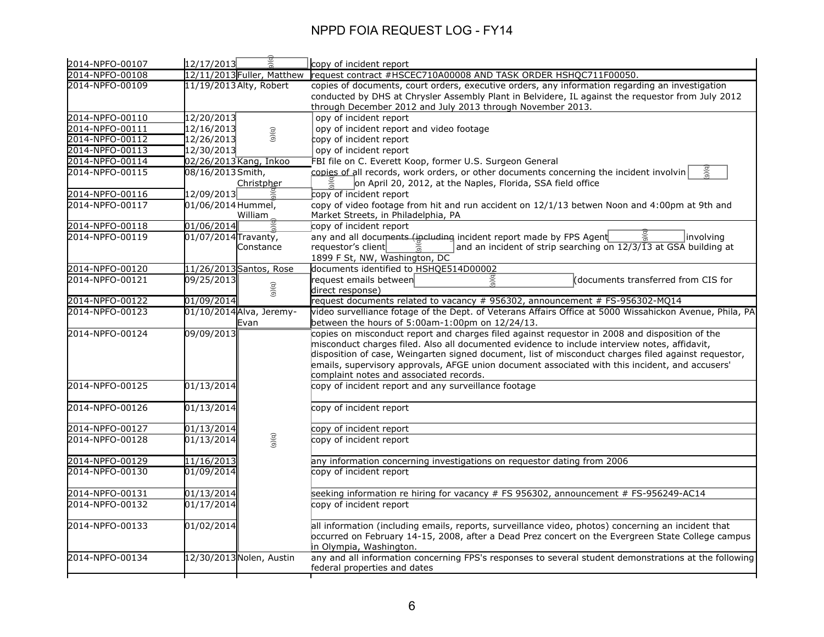| 2014-NPFO-00107 | 12/17/2013               |                            | copy of incident report                                                                                                                                        |
|-----------------|--------------------------|----------------------------|----------------------------------------------------------------------------------------------------------------------------------------------------------------|
| 2014-NPFO-00108 |                          | 12/11/2013 Fuller, Matthew | request contract #HSCEC710A00008 AND TASK ORDER HSHQC711F00050.                                                                                                |
| 2014-NPFO-00109 | 11/19/2013 Alty, Robert  |                            | copies of documents, court orders, executive orders, any information regarding an investigation                                                                |
|                 |                          |                            | conducted by DHS at Chrysler Assembly Plant in Belvidere, IL against the requestor from July 2012                                                              |
|                 |                          |                            | through December 2012 and July 2013 through November 2013.                                                                                                     |
| 2014-NPFO-00110 | 12/20/2013               |                            | opy of incident report                                                                                                                                         |
| 2014-NPFO-00111 | 12/16/2013               | (9)(q)                     | opy of incident report and video footage                                                                                                                       |
| 2014-NPFO-00112 | 12/26/2013               |                            | copy of incident report                                                                                                                                        |
| 2014-NPFO-00113 | 12/30/2013               |                            | opy of incident report                                                                                                                                         |
| 2014-NPFO-00114 | 02/26/2013 Kang, Inkoo   |                            | FBI file on C. Everett Koop, former U.S. Surgeon General                                                                                                       |
| 2014-NPFO-00115 | 08/16/2013 Smith,        | Christpher                 | p(e)<br>copies of all records, work orders, or other documents concerning the incident involvin<br>on April 20, 2012, at the Naples, Florida, SSA field office |
| 2014-NPFO-00116 | 12/09/2013               |                            | copy of incident report                                                                                                                                        |
| 2014-NPFO-00117 | 01/06/2014 Hummel,       |                            | copy of video footage from hit and run accident on 12/1/13 betwen Noon and 4:00pm at 9th and                                                                   |
|                 |                          | William                    | Market Streets, in Philadelphia, PA                                                                                                                            |
| 2014-NPFO-00118 | 01/06/2014               |                            | copy of incident report                                                                                                                                        |
| 2014-NPFO-00119 | 01/07/2014 Travanty,     |                            | any and all documents (including incident report made by FPS Agent<br>$\leq$<br>involving                                                                      |
|                 |                          | Constance                  | and an incident of strip searching on 12/3/13 at GSA building at<br>requestor's client<br>$\widetilde{\circ}$                                                  |
|                 |                          |                            | 1899 F St, NW, Washington, DC                                                                                                                                  |
| 2014-NPFO-00120 | 11/26/2013 Santos, Rose  |                            | documents identified to HSHQE514D00002                                                                                                                         |
| 2014-NPFO-00121 | 09/25/2013               |                            | 9)(q)<br>request emails between<br>(documents transferred from CIS for                                                                                         |
|                 |                          | (9)(q)                     | direct response)                                                                                                                                               |
| 2014-NPFO-00122 | 01/09/2014               |                            | request documents related to vacancy # 956302, announcement # FS-956302-MQ14                                                                                   |
| 2014-NPFO-00123 | 01/10/2014 Alva, Jeremy- |                            | video survelliance fotage of the Dept. of Veterans Affairs Office at 5000 Wissahickon Avenue, Phila, PA                                                        |
|                 |                          | Evan                       | between the hours of $5:00$ am-1:00pm on $12/24/13$ .                                                                                                          |
| 2014-NPFO-00124 | 09/09/2013               |                            | copies on misconduct report and charges filed against requestor in 2008 and disposition of the                                                                 |
|                 |                          |                            | misconduct charges filed. Also all documented evidence to include interview notes, affidavit,                                                                  |
|                 |                          |                            | disposition of case, Weingarten signed document, list of misconduct charges filed against requestor,                                                           |
|                 |                          |                            | emails, supervisory approvals, AFGE union document associated with this incident, and accusers'                                                                |
|                 |                          |                            | complaint notes and associated records.                                                                                                                        |
| 2014-NPFO-00125 | 01/13/2014               |                            | copy of incident report and any surveillance footage                                                                                                           |
|                 |                          |                            |                                                                                                                                                                |
| 2014-NPFO-00126 | 01/13/2014               |                            | copy of incident report                                                                                                                                        |
|                 |                          |                            |                                                                                                                                                                |
| 2014-NPFO-00127 | $\overline{01/13/2014}$  |                            | copy of incident report                                                                                                                                        |
| 2014-NPFO-00128 | 01/13/2014               | (5)(6)                     | copy of incident report                                                                                                                                        |
| 2014-NPFO-00129 | 11/16/2013               |                            | any information concerning investigations on requestor dating from 2006                                                                                        |
| 2014-NPFO-00130 | 01/09/2014               |                            | copy of incident report                                                                                                                                        |
|                 |                          |                            |                                                                                                                                                                |
| 2014-NPFO-00131 | 01/13/2014               |                            | seeking information re hiring for vacancy # FS 956302, announcement # FS-956249-AC14                                                                           |
| 2014-NPFO-00132 | 01/17/2014               |                            | copy of incident report                                                                                                                                        |
| 2014-NPFO-00133 | 01/02/2014               |                            | all information (including emails, reports, surveillance video, photos) concerning an incident that                                                            |
|                 |                          |                            | occurred on February 14-15, 2008, after a Dead Prez concert on the Evergreen State College campus                                                              |
|                 |                          |                            | in Olympia, Washington.                                                                                                                                        |
| 2014-NPFO-00134 | 12/30/2013 Nolen, Austin |                            | any and all information concerning FPS's responses to several student demonstrations at the following                                                          |
|                 |                          |                            | federal properties and dates                                                                                                                                   |
|                 |                          |                            |                                                                                                                                                                |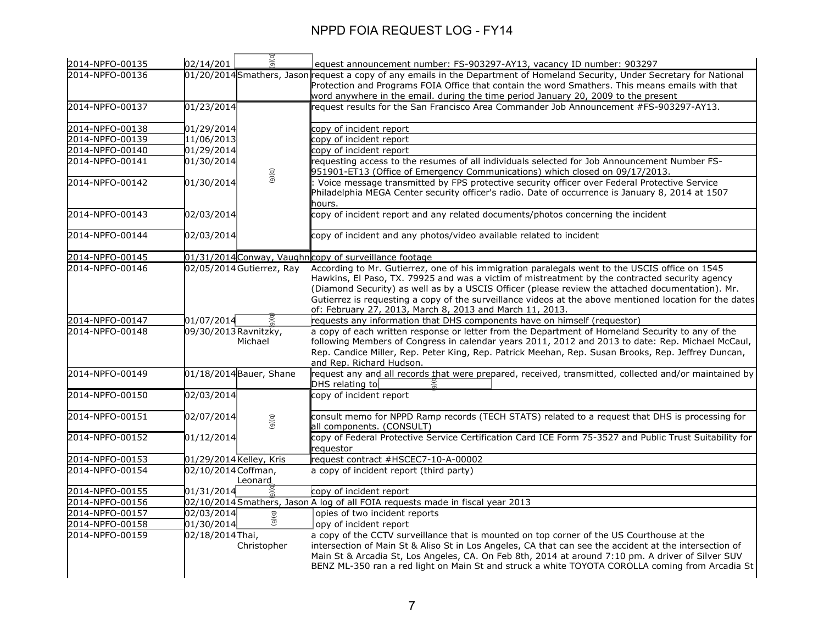| 2014-NPFO-00135 | 02/14/201               | 9)(q)                     | equest announcement number: FS-903297-AY13, vacancy ID number: 903297                                                                                                                                                                                                                                                                                                     |
|-----------------|-------------------------|---------------------------|---------------------------------------------------------------------------------------------------------------------------------------------------------------------------------------------------------------------------------------------------------------------------------------------------------------------------------------------------------------------------|
| 2014-NPFO-00136 |                         |                           | 01/20/2014 Smathers, Jason request a copy of any emails in the Department of Homeland Security, Under Secretary for National                                                                                                                                                                                                                                              |
|                 |                         |                           | Protection and Programs FOIA Office that contain the word Smathers. This means emails with that                                                                                                                                                                                                                                                                           |
|                 |                         |                           | word anywhere in the email. during the time period January 20, 2009 to the present                                                                                                                                                                                                                                                                                        |
| 2014-NPFO-00137 | 01/23/2014              |                           | request results for the San Francisco Area Commander Job Announcement #FS-903297-AY13.                                                                                                                                                                                                                                                                                    |
| 2014-NPFO-00138 | 01/29/2014              |                           | copy of incident report                                                                                                                                                                                                                                                                                                                                                   |
| 2014-NPFO-00139 | 11/06/2013              |                           | copy of incident report                                                                                                                                                                                                                                                                                                                                                   |
| 2014-NPFO-00140 | 01/29/2014              |                           | copy of incident report                                                                                                                                                                                                                                                                                                                                                   |
| 2014-NPFO-00141 | 01/30/2014              |                           | requesting access to the resumes of all individuals selected for Job Announcement Number FS-<br>951901-ET13 (Office of Emergency Communications) which closed on 09/17/2013.                                                                                                                                                                                              |
| 2014-NPFO-00142 | 01/30/2014              | (9)(q)                    | Voice message transmitted by FPS protective security officer over Federal Protective Service<br>Philadelphia MEGA Center security officer's radio. Date of occurrence is January 8, 2014 at 1507<br>hours.                                                                                                                                                                |
| 2014-NPFO-00143 | 02/03/2014              |                           | copy of incident report and any related documents/photos concerning the incident                                                                                                                                                                                                                                                                                          |
| 2014-NPFO-00144 | 02/03/2014              |                           | copy of incident and any photos/video available related to incident                                                                                                                                                                                                                                                                                                       |
| 2014-NPFO-00145 |                         |                           | 01/31/2014 Conway, Vaughn copy of surveillance footage                                                                                                                                                                                                                                                                                                                    |
| 2014-NPFO-00146 |                         | 02/05/2014 Gutierrez, Ray | According to Mr. Gutierrez, one of his immigration paralegals went to the USCIS office on 1545                                                                                                                                                                                                                                                                            |
|                 |                         |                           | Hawkins, El Paso, TX. 79925 and was a victim of mistreatment by the contracted security agency<br>(Diamond Security) as well as by a USCIS Officer (please review the attached documentation). Mr.<br>Gutierrez is requesting a copy of the surveillance videos at the above mentioned location for the dates<br>of: February 27, 2013, March 8, 2013 and March 11, 2013. |
| 2014-NPFO-00147 | 01/07/2014              |                           | requests any information that DHS components have on himself (requestor)                                                                                                                                                                                                                                                                                                  |
| 2014-NPFO-00148 | 09/30/2013 Ravnitzky,   | Michael                   | a copy of each written response or letter from the Department of Homeland Security to any of the<br>following Members of Congress in calendar years 2011, 2012 and 2013 to date: Rep. Michael McCaul,<br>Rep. Candice Miller, Rep. Peter King, Rep. Patrick Meehan, Rep. Susan Brooks, Rep. Jeffrey Duncan,<br>and Rep. Richard Hudson.                                   |
| 2014-NPFO-00149 |                         | 01/18/2014 Bauer, Shane   | request any and all records that were prepared, received, transmitted, collected and/or maintained by<br>DHS relating to $\lfloor$                                                                                                                                                                                                                                        |
| 2014-NPFO-00150 | 02/03/2014              |                           | copy of incident report                                                                                                                                                                                                                                                                                                                                                   |
| 2014-NPFO-00151 | 02/07/2014              | (5)(6)                    | consult memo for NPPD Ramp records (TECH STATS) related to a request that DHS is processing for<br>all components. (CONSULT)                                                                                                                                                                                                                                              |
| 2014-NPFO-00152 | 01/12/2014              |                           | copy of Federal Protective Service Certification Card ICE Form 75-3527 and Public Trust Suitability for<br>requestor                                                                                                                                                                                                                                                      |
| 2014-NPFO-00153 | 01/29/2014 Kelley, Kris |                           | request contract #HSCEC7-10-A-00002                                                                                                                                                                                                                                                                                                                                       |
| 2014-NPFO-00154 | 02/10/2014 Coffman,     | Leonard                   | a copy of incident report (third party)                                                                                                                                                                                                                                                                                                                                   |
| 2014-NPFO-00155 | 01/31/2014              |                           | copy of incident report                                                                                                                                                                                                                                                                                                                                                   |
| 2014-NPFO-00156 |                         |                           | 02/10/2014 Smathers, Jason A log of all FOIA requests made in fiscal year 2013                                                                                                                                                                                                                                                                                            |
| 2014-NPFO-00157 | 02/03/2014              |                           | opies of two incident reports                                                                                                                                                                                                                                                                                                                                             |
| 2014-NPFO-00158 | 01/30/2014              | (9)(q)                    | opy of incident report                                                                                                                                                                                                                                                                                                                                                    |
| 2014-NPFO-00159 | 02/18/2014 Thai,        |                           | a copy of the CCTV surveillance that is mounted on top corner of the US Courthouse at the                                                                                                                                                                                                                                                                                 |
|                 |                         | Christopher               | intersection of Main St & Aliso St in Los Angeles, CA that can see the accident at the intersection of<br>Main St & Arcadia St, Los Angeles, CA. On Feb 8th, 2014 at around 7:10 pm. A driver of Silver SUV<br>BENZ ML-350 ran a red light on Main St and struck a white TOYOTA COROLLA coming from Arcadia St                                                            |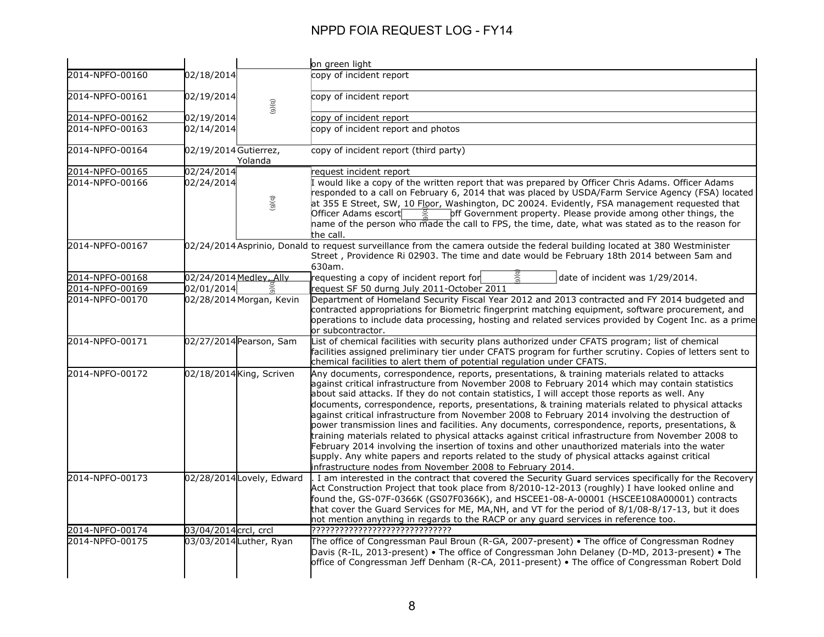|                 |                                  | on green light                                                                                                                                                                                                                                                                                                                                                                                                                                                                                                                                                                                                                                                                                                                                                                                                                                                                                                                                                                                  |
|-----------------|----------------------------------|-------------------------------------------------------------------------------------------------------------------------------------------------------------------------------------------------------------------------------------------------------------------------------------------------------------------------------------------------------------------------------------------------------------------------------------------------------------------------------------------------------------------------------------------------------------------------------------------------------------------------------------------------------------------------------------------------------------------------------------------------------------------------------------------------------------------------------------------------------------------------------------------------------------------------------------------------------------------------------------------------|
| 2014-NPFO-00160 | 02/18/2014                       | copy of incident report                                                                                                                                                                                                                                                                                                                                                                                                                                                                                                                                                                                                                                                                                                                                                                                                                                                                                                                                                                         |
| 2014-NPFO-00161 | 02/19/2014<br>(9)(q)             | copy of incident report                                                                                                                                                                                                                                                                                                                                                                                                                                                                                                                                                                                                                                                                                                                                                                                                                                                                                                                                                                         |
| 2014-NPFO-00162 | 02/19/2014                       | copy of incident report                                                                                                                                                                                                                                                                                                                                                                                                                                                                                                                                                                                                                                                                                                                                                                                                                                                                                                                                                                         |
| 2014-NPFO-00163 | 02/14/2014                       | copy of incident report and photos                                                                                                                                                                                                                                                                                                                                                                                                                                                                                                                                                                                                                                                                                                                                                                                                                                                                                                                                                              |
| 2014-NPFO-00164 | 02/19/2014 Gutierrez,<br>Yolanda | copy of incident report (third party)                                                                                                                                                                                                                                                                                                                                                                                                                                                                                                                                                                                                                                                                                                                                                                                                                                                                                                                                                           |
| 2014-NPFO-00165 | 02/24/2014                       | request incident report                                                                                                                                                                                                                                                                                                                                                                                                                                                                                                                                                                                                                                                                                                                                                                                                                                                                                                                                                                         |
| 2014-NPFO-00166 | 02/24/2014<br>(5)(6)             | I would like a copy of the written report that was prepared by Officer Chris Adams. Officer Adams<br>responded to a call on February 6, 2014 that was placed by USDA/Farm Service Agency (FSA) located<br>at 355 E Street, SW, 10 Floor, Washington, DC 20024. Evidently, FSA management requested that<br>off Government property. Please provide among other things, the<br>Officer Adams escort<br>hame of the person who made the call to FPS, the time, date, what was stated as to the reason for<br>the call.                                                                                                                                                                                                                                                                                                                                                                                                                                                                            |
| 2014-NPFO-00167 |                                  | 02/24/2014 Asprinio, Donald to request surveillance from the camera outside the federal building located at 380 Westminister<br>Street, Providence Ri 02903. The time and date would be February 18th 2014 between 5am and<br>630am.                                                                                                                                                                                                                                                                                                                                                                                                                                                                                                                                                                                                                                                                                                                                                            |
| 2014-NPFO-00168 | 02/24/2014 Medley, Ally          | requesting a copy of incident report for<br>date of incident was 1/29/2014.                                                                                                                                                                                                                                                                                                                                                                                                                                                                                                                                                                                                                                                                                                                                                                                                                                                                                                                     |
| 2014-NPFO-00169 | 02/01/2014                       | request SF 50 durng July 2011-October 2011                                                                                                                                                                                                                                                                                                                                                                                                                                                                                                                                                                                                                                                                                                                                                                                                                                                                                                                                                      |
| 2014-NPFO-00170 | 02/28/2014 Morgan, Kevin         | Department of Homeland Security Fiscal Year 2012 and 2013 contracted and FY 2014 budgeted and<br>contracted appropriations for Biometric fingerprint matching equipment, software procurement, and<br>operations to include data processing, hosting and related services provided by Cogent Inc. as a prime<br>or subcontractor.                                                                                                                                                                                                                                                                                                                                                                                                                                                                                                                                                                                                                                                               |
| 2014-NPFO-00171 | 02/27/2014 Pearson, Sam          | List of chemical facilities with security plans authorized under CFATS program; list of chemical<br>facilities assigned preliminary tier under CFATS program for further scrutiny. Copies of letters sent to<br>chemical facilities to alert them of potential regulation under CFATS.                                                                                                                                                                                                                                                                                                                                                                                                                                                                                                                                                                                                                                                                                                          |
| 2014-NPFO-00172 | 02/18/2014 King, Scriven         | Any documents, correspondence, reports, presentations, & training materials related to attacks<br>against critical infrastructure from November 2008 to February 2014 which may contain statistics<br>about said attacks. If they do not contain statistics, I will accept those reports as well. Any<br>documents, correspondence, reports, presentations, & training materials related to physical attacks<br>against critical infrastructure from November 2008 to February 2014 involving the destruction of<br>power transmission lines and facilities. Any documents, correspondence, reports, presentations, &<br>training materials related to physical attacks against critical infrastructure from November 2008 to<br>February 2014 involving the insertion of toxins and other unauthorized materials into the water<br>supply. Any white papers and reports related to the study of physical attacks against critical<br>infrastructure nodes from November 2008 to February 2014. |
| 2014-NPFO-00173 | 02/28/2014 Lovely, Edward        | . I am interested in the contract that covered the Security Guard services specifically for the Recovery<br>Act Construction Project that took place from 8/2010-12-2013 (roughly) I have looked online and<br>found the, GS-07F-0366K (GS07F0366K), and HSCEE1-08-A-00001 (HSCEE108A00001) contracts<br>that cover the Guard Services for ME, MA, NH, and VT for the period of 8/1/08-8/17-13, but it does<br>not mention anything in regards to the RACP or any guard services in reference too.                                                                                                                                                                                                                                                                                                                                                                                                                                                                                              |
| 2014-NPFO-00174 | 03/04/2014 crcl, crcl            | ??????????????????????????????                                                                                                                                                                                                                                                                                                                                                                                                                                                                                                                                                                                                                                                                                                                                                                                                                                                                                                                                                                  |
| 2014-NPFO-00175 | 03/03/2014 Luther, Ryan          | The office of Congressman Paul Broun (R-GA, 2007-present) • The office of Congressman Rodney<br>Davis (R-IL, 2013-present) • The office of Congressman John Delaney (D-MD, 2013-present) • The<br>office of Congressman Jeff Denham (R-CA, 2011-present) . The office of Congressman Robert Dold                                                                                                                                                                                                                                                                                                                                                                                                                                                                                                                                                                                                                                                                                                |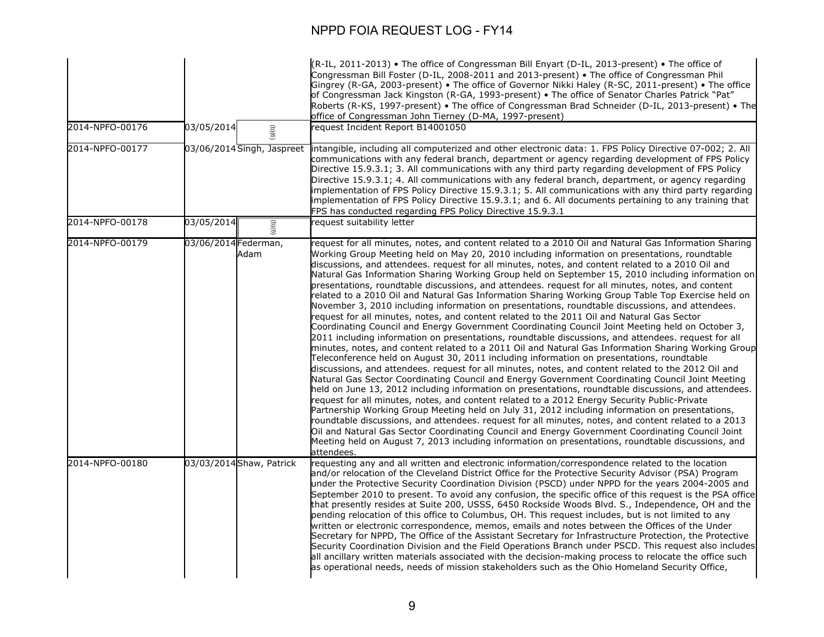| 2014-NPFO-00176 | 03/05/2014                   | (R-IL, 2011-2013) • The office of Congressman Bill Enyart (D-IL, 2013-present) • The office of<br>Congressman Bill Foster (D-IL, 2008-2011 and 2013-present) • The office of Congressman Phil<br>Gingrey (R-GA, 2003-present) • The office of Governor Nikki Haley (R-SC, 2011-present) • The office<br>of Congressman Jack Kingston (R-GA, 1993-present) . The office of Senator Charles Patrick "Pat"<br>Roberts (R-KS, 1997-present) • The office of Congressman Brad Schneider (D-IL, 2013-present) • The<br>office of Congressman John Tierney (D-MA, 1997-present)<br>request Incident Report B14001050                                                                                                                                                                                                                                                                                                                                                                                                                                                                                                                                                                                                                                                                                                                                                                                                                                                                                                                                                                                                                                                                                                                                                                                                                                                                                                                                                                                                                                                                                     |
|-----------------|------------------------------|---------------------------------------------------------------------------------------------------------------------------------------------------------------------------------------------------------------------------------------------------------------------------------------------------------------------------------------------------------------------------------------------------------------------------------------------------------------------------------------------------------------------------------------------------------------------------------------------------------------------------------------------------------------------------------------------------------------------------------------------------------------------------------------------------------------------------------------------------------------------------------------------------------------------------------------------------------------------------------------------------------------------------------------------------------------------------------------------------------------------------------------------------------------------------------------------------------------------------------------------------------------------------------------------------------------------------------------------------------------------------------------------------------------------------------------------------------------------------------------------------------------------------------------------------------------------------------------------------------------------------------------------------------------------------------------------------------------------------------------------------------------------------------------------------------------------------------------------------------------------------------------------------------------------------------------------------------------------------------------------------------------------------------------------------------------------------------------------------|
|                 | (6)(6)                       |                                                                                                                                                                                                                                                                                                                                                                                                                                                                                                                                                                                                                                                                                                                                                                                                                                                                                                                                                                                                                                                                                                                                                                                                                                                                                                                                                                                                                                                                                                                                                                                                                                                                                                                                                                                                                                                                                                                                                                                                                                                                                                   |
| 2014-NPFO-00177 | 03/06/2014 Singh, Jaspreet   | intangible, including all computerized and other electronic data: 1. FPS Policy Directive 07-002; 2. All<br>communications with any federal branch, department or agency regarding development of FPS Policy<br>Directive 15.9.3.1; 3. All communications with any third party regarding development of FPS Policy<br>Directive 15.9.3.1; 4. All communications with any federal branch, department, or agency regarding<br>implementation of FPS Policy Directive 15.9.3.1; 5. All communications with any third party regarding<br>implementation of FPS Policy Directive 15.9.3.1; and 6. All documents pertaining to any training that<br>FPS has conducted regarding FPS Policy Directive 15.9.3.1                                                                                                                                                                                                                                                                                                                                                                                                                                                                                                                                                                                                                                                                                                                                                                                                                                                                                                                                                                                                                                                                                                                                                                                                                                                                                                                                                                                           |
| 2014-NPFO-00178 | 03/05/2014<br>(9)(q)         | request suitability letter                                                                                                                                                                                                                                                                                                                                                                                                                                                                                                                                                                                                                                                                                                                                                                                                                                                                                                                                                                                                                                                                                                                                                                                                                                                                                                                                                                                                                                                                                                                                                                                                                                                                                                                                                                                                                                                                                                                                                                                                                                                                        |
| 2014-NPFO-00179 | 03/06/2014 Federman,<br>Adam | request for all minutes, notes, and content related to a 2010 Oil and Natural Gas Information Sharing<br>Working Group Meeting held on May 20, 2010 including information on presentations, roundtable<br>discussions, and attendees. request for all minutes, notes, and content related to a 2010 Oil and<br>Natural Gas Information Sharing Working Group held on September 15, 2010 including information on<br>presentations, roundtable discussions, and attendees. request for all minutes, notes, and content<br>related to a 2010 Oil and Natural Gas Information Sharing Working Group Table Top Exercise held on<br>November 3, 2010 including information on presentations, roundtable discussions, and attendees.<br>request for all minutes, notes, and content related to the 2011 Oil and Natural Gas Sector<br>Coordinating Council and Energy Government Coordinating Council Joint Meeting held on October 3,<br>2011 including information on presentations, roundtable discussions, and attendees. request for all<br>minutes, notes, and content related to a 2011 Oil and Natural Gas Information Sharing Working Group<br>Teleconference held on August 30, 2011 including information on presentations, roundtable<br>discussions, and attendees. request for all minutes, notes, and content related to the 2012 Oil and<br>Natural Gas Sector Coordinating Council and Energy Government Coordinating Council Joint Meeting<br>held on June 13, 2012 including information on presentations, roundtable discussions, and attendees.<br>request for all minutes, notes, and content related to a 2012 Energy Security Public-Private<br>Partnership Working Group Meeting held on July 31, 2012 including information on presentations,<br>roundtable discussions, and attendees. request for all minutes, notes, and content related to a 2013<br>Oil and Natural Gas Sector Coordinating Council and Energy Government Coordinating Council Joint<br>Meeting held on August 7, 2013 including information on presentations, roundtable discussions, and<br>attendees. |
| 2014-NPFO-00180 | 03/03/2014 Shaw, Patrick     | requesting any and all written and electronic information/correspondence related to the location<br>and/or relocation of the Cleveland District Office for the Protective Security Advisor (PSA) Program<br>under the Protective Security Coordination Division (PSCD) under NPPD for the years 2004-2005 and<br>September 2010 to present. To avoid any confusion, the specific office of this request is the PSA office<br>that presently resides at Suite 200, USSS, 6450 Rockside Woods Blvd. S., Independence, OH and the<br>pending relocation of this office to Columbus, OH. This request includes, but is not limited to any<br>written or electronic correspondence, memos, emails and notes between the Offices of the Under<br>Secretary for NPPD, The Office of the Assistant Secretary for Infrastructure Protection, the Protective<br>Security Coordination Division and the Field Operations Branch under PSCD. This request also includes<br>all ancillary written materials associated with the decision-making process to relocate the office such<br>as operational needs, needs of mission stakeholders such as the Ohio Homeland Security Office,                                                                                                                                                                                                                                                                                                                                                                                                                                                                                                                                                                                                                                                                                                                                                                                                                                                                                                                          |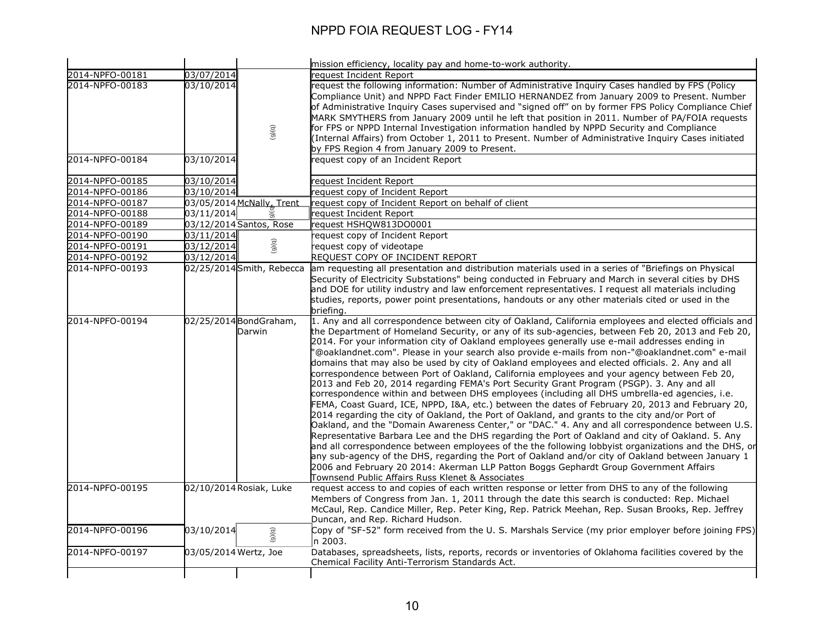|                 |                                   | mission efficiency, locality pay and home-to-work authority.                                                                                                                                                                                                                                                                                                                                                                                                                                                                                                                                                                                                                                                                                                                                                                                                                                                                                                                                                                                                                                                                                                                                                                                                                                                                                                                                                                                                                                                                                                                             |
|-----------------|-----------------------------------|------------------------------------------------------------------------------------------------------------------------------------------------------------------------------------------------------------------------------------------------------------------------------------------------------------------------------------------------------------------------------------------------------------------------------------------------------------------------------------------------------------------------------------------------------------------------------------------------------------------------------------------------------------------------------------------------------------------------------------------------------------------------------------------------------------------------------------------------------------------------------------------------------------------------------------------------------------------------------------------------------------------------------------------------------------------------------------------------------------------------------------------------------------------------------------------------------------------------------------------------------------------------------------------------------------------------------------------------------------------------------------------------------------------------------------------------------------------------------------------------------------------------------------------------------------------------------------------|
| 2014-NPFO-00181 | 03/07/2014                        | reauest Incident Report                                                                                                                                                                                                                                                                                                                                                                                                                                                                                                                                                                                                                                                                                                                                                                                                                                                                                                                                                                                                                                                                                                                                                                                                                                                                                                                                                                                                                                                                                                                                                                  |
| 2014-NPFO-00183 | 03/10/2014<br>(9)(6)              | request the following information: Number of Administrative Inguiry Cases handled by FPS (Policy<br>Compliance Unit) and NPPD Fact Finder EMILIO HERNANDEZ from January 2009 to Present. Number<br>of Administrative Inquiry Cases supervised and "signed off" on by former FPS Policy Compliance Chief<br>MARK SMYTHERS from January 2009 until he left that position in 2011. Number of PA/FOIA requests<br>for FPS or NPPD Internal Investigation information handled by NPPD Security and Compliance<br>(Internal Affairs) from October 1, 2011 to Present. Number of Administrative Inquiry Cases initiated<br>by FPS Region 4 from January 2009 to Present.                                                                                                                                                                                                                                                                                                                                                                                                                                                                                                                                                                                                                                                                                                                                                                                                                                                                                                                        |
| 2014-NPFO-00184 | 03/10/2014                        | request copy of an Incident Report                                                                                                                                                                                                                                                                                                                                                                                                                                                                                                                                                                                                                                                                                                                                                                                                                                                                                                                                                                                                                                                                                                                                                                                                                                                                                                                                                                                                                                                                                                                                                       |
| 2014-NPFO-00185 | 03/10/2014                        | request Incident Report                                                                                                                                                                                                                                                                                                                                                                                                                                                                                                                                                                                                                                                                                                                                                                                                                                                                                                                                                                                                                                                                                                                                                                                                                                                                                                                                                                                                                                                                                                                                                                  |
| 2014-NPFO-00186 | 03/10/2014                        | request copy of Incident Report                                                                                                                                                                                                                                                                                                                                                                                                                                                                                                                                                                                                                                                                                                                                                                                                                                                                                                                                                                                                                                                                                                                                                                                                                                                                                                                                                                                                                                                                                                                                                          |
| 2014-NPFO-00187 | 03/05/2014 McNally, Trent         | request copy of Incident Report on behalf of client                                                                                                                                                                                                                                                                                                                                                                                                                                                                                                                                                                                                                                                                                                                                                                                                                                                                                                                                                                                                                                                                                                                                                                                                                                                                                                                                                                                                                                                                                                                                      |
| 2014-NPFO-00188 | 03/11/2014                        | request Incident Report                                                                                                                                                                                                                                                                                                                                                                                                                                                                                                                                                                                                                                                                                                                                                                                                                                                                                                                                                                                                                                                                                                                                                                                                                                                                                                                                                                                                                                                                                                                                                                  |
| 2014-NPFO-00189 | 03/12/2014 Santos, Rose           | request HSHOW813DO0001                                                                                                                                                                                                                                                                                                                                                                                                                                                                                                                                                                                                                                                                                                                                                                                                                                                                                                                                                                                                                                                                                                                                                                                                                                                                                                                                                                                                                                                                                                                                                                   |
| 2014-NPFO-00190 | 03/11/2014                        | reguest copy of Incident Report                                                                                                                                                                                                                                                                                                                                                                                                                                                                                                                                                                                                                                                                                                                                                                                                                                                                                                                                                                                                                                                                                                                                                                                                                                                                                                                                                                                                                                                                                                                                                          |
| 2014-NPFO-00191 | (9)(q)<br>03/12/2014              | request copy of videotape                                                                                                                                                                                                                                                                                                                                                                                                                                                                                                                                                                                                                                                                                                                                                                                                                                                                                                                                                                                                                                                                                                                                                                                                                                                                                                                                                                                                                                                                                                                                                                |
| 2014-NPFO-00192 | 03/12/2014                        | REQUEST COPY OF INCIDENT REPORT                                                                                                                                                                                                                                                                                                                                                                                                                                                                                                                                                                                                                                                                                                                                                                                                                                                                                                                                                                                                                                                                                                                                                                                                                                                                                                                                                                                                                                                                                                                                                          |
| 2014-NPFO-00193 | 02/25/2014 Smith, Rebecca         | am requesting all presentation and distribution materials used in a series of "Briefings on Physical                                                                                                                                                                                                                                                                                                                                                                                                                                                                                                                                                                                                                                                                                                                                                                                                                                                                                                                                                                                                                                                                                                                                                                                                                                                                                                                                                                                                                                                                                     |
|                 |                                   | Security of Electricity Substations" being conducted in February and March in several cities by DHS<br>and DOE for utility industry and law enforcement representatives. I request all materials including<br>studies, reports, power point presentations, handouts or any other materials cited or used in the<br>briefing.                                                                                                                                                                                                                                                                                                                                                                                                                                                                                                                                                                                                                                                                                                                                                                                                                                                                                                                                                                                                                                                                                                                                                                                                                                                             |
| 2014-NPFO-00194 | 02/25/2014 Bond Graham,<br>Darwin | 1. Any and all correspondence between city of Oakland, California employees and elected officials and<br>the Department of Homeland Security, or any of its sub-agencies, between Feb 20, 2013 and Feb 20,<br>2014. For your information city of Oakland employees generally use e-mail addresses ending in<br>"@oaklandnet.com". Please in your search also provide e-mails from non-"@oaklandnet.com" e-mail<br>domains that may also be used by city of Oakland employees and elected officials. 2. Any and all<br>correspondence between Port of Oakland, California employees and your agency between Feb 20,<br>2013 and Feb 20, 2014 regarding FEMA's Port Security Grant Program (PSGP). 3. Any and all<br>correspondence within and between DHS employees (including all DHS umbrella-ed agencies, i.e.<br>FEMA, Coast Guard, ICE, NPPD, I&A, etc.) between the dates of February 20, 2013 and February 20,<br>2014 regarding the city of Oakland, the Port of Oakland, and grants to the city and/or Port of<br>Oakland, and the "Domain Awareness Center," or "DAC." 4. Any and all correspondence between U.S.<br>Representative Barbara Lee and the DHS regarding the Port of Oakland and city of Oakland. 5. Any<br>and all correspondence between employees of the the following lobbyist organizations and the DHS, or<br>any sub-agency of the DHS, regarding the Port of Oakland and/or city of Oakland between January 1<br>2006 and February 20 2014: Akerman LLP Patton Boggs Gephardt Group Government Affairs<br>Townsend Public Affairs Russ Klenet & Associates |
| 2014-NPFO-00195 | 02/10/2014 Rosiak, Luke           | request access to and copies of each written response or letter from DHS to any of the following<br>Members of Congress from Jan. 1, 2011 through the date this search is conducted: Rep. Michael<br>McCaul, Rep. Candice Miller, Rep. Peter King, Rep. Patrick Meehan, Rep. Susan Brooks, Rep. Jeffrey<br>Duncan, and Rep. Richard Hudson.                                                                                                                                                                                                                                                                                                                                                                                                                                                                                                                                                                                                                                                                                                                                                                                                                                                                                                                                                                                                                                                                                                                                                                                                                                              |
| 2014-NPFO-00196 | 03/10/2014<br>(9)(q)              | Copy of "SF-52" form received from the U.S. Marshals Service (my prior employer before joining FPS)<br>n 2003.                                                                                                                                                                                                                                                                                                                                                                                                                                                                                                                                                                                                                                                                                                                                                                                                                                                                                                                                                                                                                                                                                                                                                                                                                                                                                                                                                                                                                                                                           |
| 2014-NPFO-00197 | 03/05/2014 Wertz, Joe             | Databases, spreadsheets, lists, reports, records or inventories of Oklahoma facilities covered by the<br>Chemical Facility Anti-Terrorism Standards Act.                                                                                                                                                                                                                                                                                                                                                                                                                                                                                                                                                                                                                                                                                                                                                                                                                                                                                                                                                                                                                                                                                                                                                                                                                                                                                                                                                                                                                                 |
|                 |                                   |                                                                                                                                                                                                                                                                                                                                                                                                                                                                                                                                                                                                                                                                                                                                                                                                                                                                                                                                                                                                                                                                                                                                                                                                                                                                                                                                                                                                                                                                                                                                                                                          |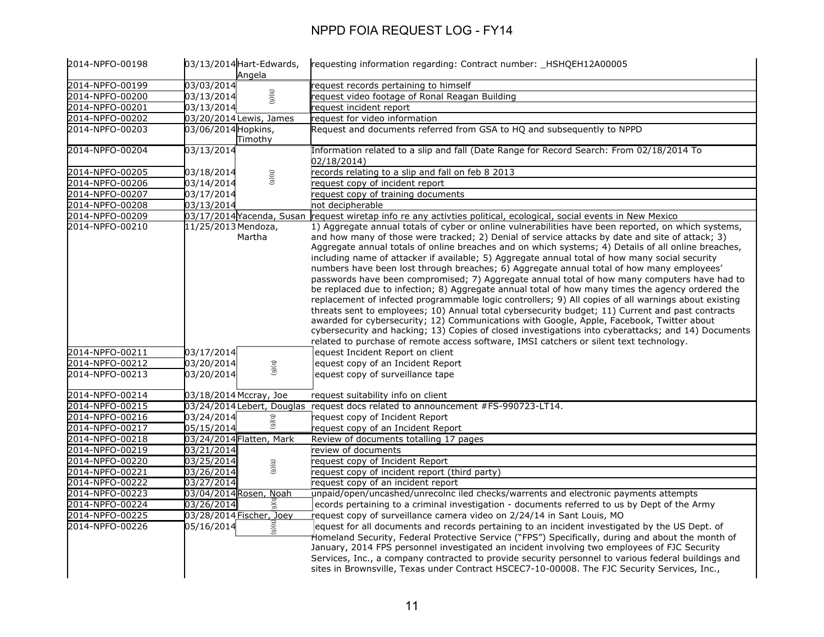| 2014-NPFO-00198 | 03/13/2014 Hart-Edwards,<br>Angela | requesting information regarding: Contract number: _HSHQEH12A00005                                                                                                                                                                                                                                                                                                                                                                                                                                                                                                                                                                                                                                                                                                                                                                                                                                                                                                                                                                                                                                                                                                                                                          |
|-----------------|------------------------------------|-----------------------------------------------------------------------------------------------------------------------------------------------------------------------------------------------------------------------------------------------------------------------------------------------------------------------------------------------------------------------------------------------------------------------------------------------------------------------------------------------------------------------------------------------------------------------------------------------------------------------------------------------------------------------------------------------------------------------------------------------------------------------------------------------------------------------------------------------------------------------------------------------------------------------------------------------------------------------------------------------------------------------------------------------------------------------------------------------------------------------------------------------------------------------------------------------------------------------------|
| 2014-NPFO-00199 | 03/03/2014                         | request records pertaining to himself                                                                                                                                                                                                                                                                                                                                                                                                                                                                                                                                                                                                                                                                                                                                                                                                                                                                                                                                                                                                                                                                                                                                                                                       |
| 2014-NPFO-00200 | (9)(6)<br>03/13/2014               | request video footage of Ronal Reagan Building                                                                                                                                                                                                                                                                                                                                                                                                                                                                                                                                                                                                                                                                                                                                                                                                                                                                                                                                                                                                                                                                                                                                                                              |
| 2014-NPFO-00201 | 03/13/2014                         | request incident report                                                                                                                                                                                                                                                                                                                                                                                                                                                                                                                                                                                                                                                                                                                                                                                                                                                                                                                                                                                                                                                                                                                                                                                                     |
| 2014-NPFO-00202 | 03/20/2014 Lewis, James            | request for video information                                                                                                                                                                                                                                                                                                                                                                                                                                                                                                                                                                                                                                                                                                                                                                                                                                                                                                                                                                                                                                                                                                                                                                                               |
| 2014-NPFO-00203 | 03/06/2014 Hopkins,<br>Timothy     | Request and documents referred from GSA to HQ and subsequently to NPPD                                                                                                                                                                                                                                                                                                                                                                                                                                                                                                                                                                                                                                                                                                                                                                                                                                                                                                                                                                                                                                                                                                                                                      |
| 2014-NPFO-00204 | 03/13/2014                         | Information related to a slip and fall (Date Range for Record Search: From 02/18/2014 To<br>02/18/2014)                                                                                                                                                                                                                                                                                                                                                                                                                                                                                                                                                                                                                                                                                                                                                                                                                                                                                                                                                                                                                                                                                                                     |
| 2014-NPFO-00205 | 03/18/2014<br>(9)(q)               | records relating to a slip and fall on feb 8 2013                                                                                                                                                                                                                                                                                                                                                                                                                                                                                                                                                                                                                                                                                                                                                                                                                                                                                                                                                                                                                                                                                                                                                                           |
| 2014-NPFO-00206 | 03/14/2014                         | request copy of incident report                                                                                                                                                                                                                                                                                                                                                                                                                                                                                                                                                                                                                                                                                                                                                                                                                                                                                                                                                                                                                                                                                                                                                                                             |
| 2014-NPFO-00207 | 03/17/2014                         | request copy of training documents                                                                                                                                                                                                                                                                                                                                                                                                                                                                                                                                                                                                                                                                                                                                                                                                                                                                                                                                                                                                                                                                                                                                                                                          |
| 2014-NPFO-00208 | 03/13/2014                         | not decipherable                                                                                                                                                                                                                                                                                                                                                                                                                                                                                                                                                                                                                                                                                                                                                                                                                                                                                                                                                                                                                                                                                                                                                                                                            |
| 2014-NPFO-00209 | 03/17/2014 Yacenda, Susan          | request wiretap info re any activties political, ecological, social events in New Mexico                                                                                                                                                                                                                                                                                                                                                                                                                                                                                                                                                                                                                                                                                                                                                                                                                                                                                                                                                                                                                                                                                                                                    |
| 2014-NPFO-00210 | 11/25/2013 Mendoza,<br>Martha      | 1) Aggregate annual totals of cyber or online vulnerabilities have been reported, on which systems,<br>and how many of those were tracked; 2) Denial of service attacks by date and site of attack; 3)<br>Aggregate annual totals of online breaches and on which systems; 4) Details of all online breaches,<br>including name of attacker if available; 5) Aggregate annual total of how many social security<br>numbers have been lost through breaches; 6) Aggregate annual total of how many employees'<br>passwords have been compromised; 7) Aggregate annual total of how many computers have had to<br>be replaced due to infection; 8) Aggregate annual total of how many times the agency ordered the<br>replacement of infected programmable logic controllers; 9) All copies of all warnings about existing<br>threats sent to employees; 10) Annual total cybersecurity budget; 11) Current and past contracts<br>awarded for cybersecurity; 12) Communications with Google, Apple, Facebook, Twitter about<br>cybersecurity and hacking; 13) Copies of closed investigations into cyberattacks; and 14) Documents<br>related to purchase of remote access software, IMSI catchers or silent text technology. |
| 2014-NPFO-00211 | 03/17/2014                         | equest Incident Report on client                                                                                                                                                                                                                                                                                                                                                                                                                                                                                                                                                                                                                                                                                                                                                                                                                                                                                                                                                                                                                                                                                                                                                                                            |
| 2014-NPFO-00212 | 03/20/2014<br>(9)(q)               | equest copy of an Incident Report                                                                                                                                                                                                                                                                                                                                                                                                                                                                                                                                                                                                                                                                                                                                                                                                                                                                                                                                                                                                                                                                                                                                                                                           |
| 2014-NPFO-00213 | 03/20/2014                         | equest copy of surveillance tape                                                                                                                                                                                                                                                                                                                                                                                                                                                                                                                                                                                                                                                                                                                                                                                                                                                                                                                                                                                                                                                                                                                                                                                            |
| 2014-NPFO-00214 | 03/18/2014 Mccray, Joe             | request suitability info on client                                                                                                                                                                                                                                                                                                                                                                                                                                                                                                                                                                                                                                                                                                                                                                                                                                                                                                                                                                                                                                                                                                                                                                                          |
| 2014-NPFO-00215 |                                    | 03/24/2014 Lebert, Douglas request docs related to announcement #FS-990723-LT14.                                                                                                                                                                                                                                                                                                                                                                                                                                                                                                                                                                                                                                                                                                                                                                                                                                                                                                                                                                                                                                                                                                                                            |
| 2014-NPFO-00216 | 03/24/2014<br>(9)(q)               | request copy of Incident Report                                                                                                                                                                                                                                                                                                                                                                                                                                                                                                                                                                                                                                                                                                                                                                                                                                                                                                                                                                                                                                                                                                                                                                                             |
| 2014-NPFO-00217 | 05/15/2014                         | request copy of an Incident Report                                                                                                                                                                                                                                                                                                                                                                                                                                                                                                                                                                                                                                                                                                                                                                                                                                                                                                                                                                                                                                                                                                                                                                                          |
| 2014-NPFO-00218 | 03/24/2014 Flatten, Mark           | Review of documents totalling 17 pages                                                                                                                                                                                                                                                                                                                                                                                                                                                                                                                                                                                                                                                                                                                                                                                                                                                                                                                                                                                                                                                                                                                                                                                      |
| 2014-NPFO-00219 | 03/21/2014                         | review of documents                                                                                                                                                                                                                                                                                                                                                                                                                                                                                                                                                                                                                                                                                                                                                                                                                                                                                                                                                                                                                                                                                                                                                                                                         |
| 2014-NPFO-00220 | 03/25/2014<br>(5)(6)               | request copy of Incident Report                                                                                                                                                                                                                                                                                                                                                                                                                                                                                                                                                                                                                                                                                                                                                                                                                                                                                                                                                                                                                                                                                                                                                                                             |
| 2014-NPFO-00221 | 03/26/2014                         | request copy of incident report (third party)                                                                                                                                                                                                                                                                                                                                                                                                                                                                                                                                                                                                                                                                                                                                                                                                                                                                                                                                                                                                                                                                                                                                                                               |
| 2014-NPFO-00222 | 03/27/2014                         | request copy of an incident report                                                                                                                                                                                                                                                                                                                                                                                                                                                                                                                                                                                                                                                                                                                                                                                                                                                                                                                                                                                                                                                                                                                                                                                          |
| 2014-NPFO-00223 | 03/04/2014 Rosen, Noah             | unpaid/open/uncashed/unrecolnc iled checks/warrents and electronic payments attempts                                                                                                                                                                                                                                                                                                                                                                                                                                                                                                                                                                                                                                                                                                                                                                                                                                                                                                                                                                                                                                                                                                                                        |
| 2014-NPFO-00224 | 03/26/2014                         | ecords pertaining to a criminal investigation - documents referred to us by Dept of the Army                                                                                                                                                                                                                                                                                                                                                                                                                                                                                                                                                                                                                                                                                                                                                                                                                                                                                                                                                                                                                                                                                                                                |
| 2014-NPFO-00225 | 03/28/2014 Fischer, Joey           | request copy of surveillance camera video on $2/24/14$ in Sant Louis, MO                                                                                                                                                                                                                                                                                                                                                                                                                                                                                                                                                                                                                                                                                                                                                                                                                                                                                                                                                                                                                                                                                                                                                    |
| 2014-NPFO-00226 | 05/16/2014<br>(9)(6)               | equest for all documents and records pertaining to an incident investigated by the US Dept. of<br>Homeland Security, Federal Protective Service ("FPS") Specifically, during and about the month of<br>January, 2014 FPS personnel investigated an incident involving two employees of FJC Security<br>Services, Inc., a company contracted to provide security personnel to various federal buildings and<br>sites in Brownsville, Texas under Contract HSCEC7-10-00008. The FJC Security Services, Inc.,                                                                                                                                                                                                                                                                                                                                                                                                                                                                                                                                                                                                                                                                                                                  |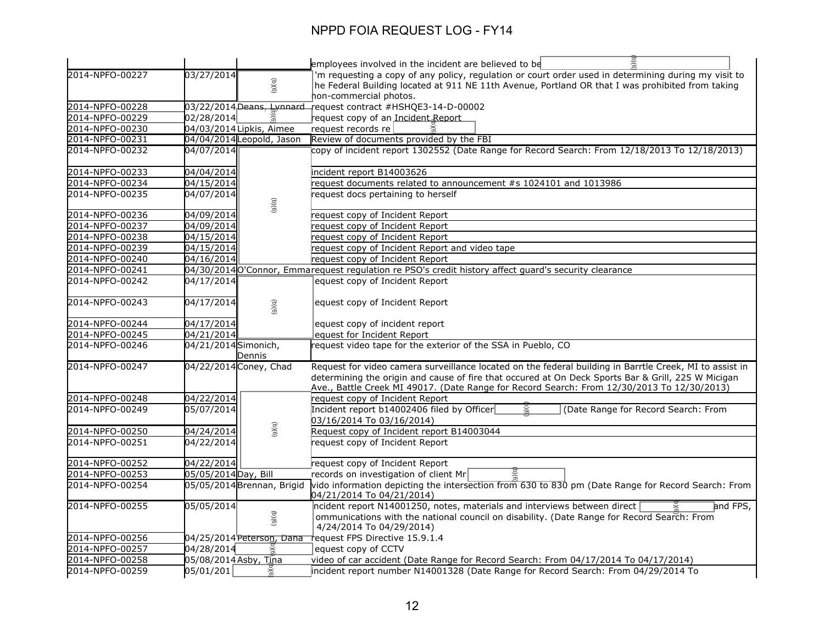|                 |                       |                            | $\overline{a}$<br>employees involved in the incident are believed to be                                 |
|-----------------|-----------------------|----------------------------|---------------------------------------------------------------------------------------------------------|
| 2014-NPFO-00227 | 03/27/2014            |                            | 'm requesting a copy of any policy, regulation or court order used in determining during my visit to    |
|                 |                       | (9)(q)                     | he Federal Building located at 911 NE 11th Avenue, Portland OR that I was prohibited from taking        |
|                 |                       |                            | hon-commercial photos.                                                                                  |
| 2014-NPFO-00228 |                       |                            | 03/22/2014 Deans, Lynnard request contract #HSHQE3-14-D-00002                                           |
| 2014-NPFO-00229 | 02/28/2014            |                            | request copy of an Incident Report                                                                      |
| 2014-NPFO-00230 |                       | 04/03/2014 Lipkis, Aimee   | request records re                                                                                      |
| 2014-NPFO-00231 |                       | 04/04/2014 Leopold, Jason  | Review of documents provided by the FBI                                                                 |
| 2014-NPFO-00232 | 04/07/2014            |                            | copy of incident report 1302552 (Date Range for Record Search: From 12/18/2013 To 12/18/2013)           |
| 2014-NPFO-00233 | 04/04/2014            |                            | incident report B14003626                                                                               |
| 2014-NPFO-00234 | 04/15/2014            |                            | request documents related to announcement #s 1024101 and 1013986                                        |
| 2014-NPFO-00235 | 04/07/2014            | (9)(q)                     | request docs pertaining to herself                                                                      |
| 2014-NPFO-00236 | 04/09/2014            |                            | request copy of Incident Report                                                                         |
| 2014-NPFO-00237 | 04/09/2014            |                            | request copy of Incident Report                                                                         |
| 2014-NPFO-00238 | 04/15/2014            |                            | request copy of Incident Report                                                                         |
| 2014-NPFO-00239 | 04/15/2014            |                            | request copy of Incident Report and video tape                                                          |
| 2014-NPFO-00240 | 04/16/2014            |                            | request copy of Incident Report                                                                         |
| 2014-NPFO-00241 |                       |                            | 04/30/2014 O'Connor, Emmarequest regulation re PSO's credit history affect guard's security clearance   |
| 2014-NPFO-00242 | 04/17/2014            |                            | equest copy of Incident Report                                                                          |
| 2014-NPFO-00243 | 04/17/2014            | (9)(q)                     | equest copy of Incident Report                                                                          |
| 2014-NPFO-00244 | 04/17/2014            |                            | equest copy of incident report                                                                          |
| 2014-NPFO-00245 | 04/21/2014            |                            | equest for Incident Report                                                                              |
| 2014-NPFO-00246 | 04/21/2014 Simonich,  | Dennis                     | request video tape for the exterior of the SSA in Pueblo, CO                                            |
| 2014-NPFO-00247 |                       | 04/22/2014 Coney, Chad     | Request for video camera surveillance located on the federal building in Barrtle Creek, MI to assist in |
|                 |                       |                            | determining the origin and cause of fire that occured at On Deck Sports Bar & Grill, 225 W Micigan      |
|                 |                       |                            | Ave., Battle Creek MI 49017. (Date Range for Record Search: From 12/30/2013 To 12/30/2013)              |
| 2014-NPFO-00248 | 04/22/2014            |                            | request copy of Incident Report                                                                         |
| 2014-NPFO-00249 | 05/07/2014            |                            | Incident report b14002406 filed by Officer<br>(Date Range for Record Search: From                       |
|                 |                       |                            | 03/16/2014 To 03/16/2014)                                                                               |
| 2014-NPFO-00250 | 04/24/2014            | (5)(6)                     | Request copy of Incident report B14003044                                                               |
| 2014-NPFO-00251 | 04/22/2014            |                            | request copy of Incident Report                                                                         |
| 2014-NPFO-00252 | 04/22/2014            |                            | request copy of Incident Report                                                                         |
| 2014-NPFO-00253 | 05/05/2014 Day, Bill  |                            | records on investigation of client Mr                                                                   |
| 2014-NPFO-00254 |                       | 05/05/2014 Brennan, Brigid | vido information depicting the intersection from 630 to 830 pm (Date Range for Record Search: From      |
|                 |                       |                            | 04/21/2014 To 04/21/2014)                                                                               |
| 2014-NPFO-00255 | 05/05/2014            |                            | ncident report N14001250, notes, materials and interviews between direct<br>and FPS,                    |
|                 |                       | (9)(q)                     | ommunications with the national council on disability. (Date Range for Record Search: From              |
|                 |                       |                            | 4/24/2014 To 04/29/2014)                                                                                |
| 2014-NPFO-00256 |                       | 04/25/2014 Peterson, Dana  | request FPS Directive 15.9.1.4                                                                          |
| 2014-NPFO-00257 | 04/28/2014            |                            | equest copy of CCTV                                                                                     |
| 2014-NPFO-00258 | 05/08/2014 Asby, Tina |                            | video of car accident (Date Range for Record Search: From 04/17/2014 To 04/17/2014)                     |
| 2014-NPFO-00259 | 05/01/201             | $\breve{\phantom{a}}$      | incident report number N14001328 (Date Range for Record Search: From 04/29/2014 To                      |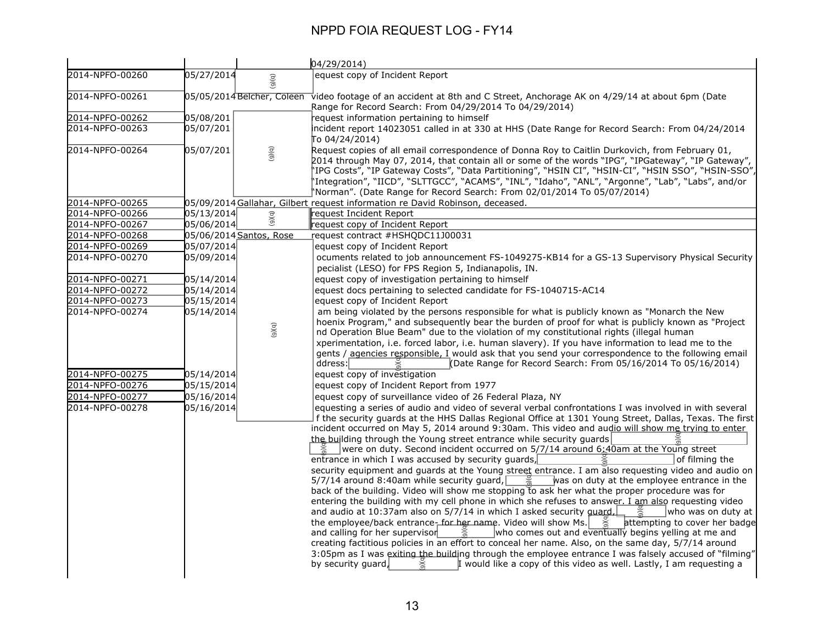|                 |            |                            | 04/29/2014)                                                                                                                                                                                                                                                                                                                                                                                                                                                                                                                                                                                                                                                                                                                                                                                                                                                                                                                                                                                                                                                                                                                                                                                                                                                                                                                                                                                                                                                                                                                                                                                                                                                |
|-----------------|------------|----------------------------|------------------------------------------------------------------------------------------------------------------------------------------------------------------------------------------------------------------------------------------------------------------------------------------------------------------------------------------------------------------------------------------------------------------------------------------------------------------------------------------------------------------------------------------------------------------------------------------------------------------------------------------------------------------------------------------------------------------------------------------------------------------------------------------------------------------------------------------------------------------------------------------------------------------------------------------------------------------------------------------------------------------------------------------------------------------------------------------------------------------------------------------------------------------------------------------------------------------------------------------------------------------------------------------------------------------------------------------------------------------------------------------------------------------------------------------------------------------------------------------------------------------------------------------------------------------------------------------------------------------------------------------------------------|
| 2014-NPFO-00260 | 05/27/2014 | (6)(6)                     | equest copy of Incident Report                                                                                                                                                                                                                                                                                                                                                                                                                                                                                                                                                                                                                                                                                                                                                                                                                                                                                                                                                                                                                                                                                                                                                                                                                                                                                                                                                                                                                                                                                                                                                                                                                             |
| 2014-NPFO-00261 |            | 05/05/2014 Belcher, Coleen | video footage of an accident at 8th and C Street, Anchorage AK on 4/29/14 at about 6pm (Date<br>Range for Record Search: From 04/29/2014 To 04/29/2014)                                                                                                                                                                                                                                                                                                                                                                                                                                                                                                                                                                                                                                                                                                                                                                                                                                                                                                                                                                                                                                                                                                                                                                                                                                                                                                                                                                                                                                                                                                    |
| 2014-NPFO-00262 | 05/08/201  |                            | request information pertaining to himself                                                                                                                                                                                                                                                                                                                                                                                                                                                                                                                                                                                                                                                                                                                                                                                                                                                                                                                                                                                                                                                                                                                                                                                                                                                                                                                                                                                                                                                                                                                                                                                                                  |
| 2014-NPFO-00263 | 05/07/201  |                            | ncident report 14023051 called in at 330 at HHS (Date Range for Record Search: From 04/24/2014<br>To 04/24/2014)                                                                                                                                                                                                                                                                                                                                                                                                                                                                                                                                                                                                                                                                                                                                                                                                                                                                                                                                                                                                                                                                                                                                                                                                                                                                                                                                                                                                                                                                                                                                           |
| 2014-NPFO-00264 | 05/07/201  | (5)(6)                     | Request copies of all email correspondence of Donna Roy to Caitlin Durkovich, from February 01,<br>, 2014 through May 07, 2014, that contain all or some of the words "IPG", "IPGateway", "IP Gateway"<br>, "IPG Costs", "IP Gateway Costs", "Data Partitioning", "HSIN CI", "HSIN-CI", "HSIN SSO", "HSIN-SSO"<br>'Integration", "IICD", "SLTTGCC", "ACAMS", "INL", "Idaho", "ANL", "Argonne", "Lab", "Labs", and/or<br>Norman". (Date Range for Record Search: From 02/01/2014 To 05/07/2014)                                                                                                                                                                                                                                                                                                                                                                                                                                                                                                                                                                                                                                                                                                                                                                                                                                                                                                                                                                                                                                                                                                                                                             |
| 2014-NPFO-00265 |            |                            | 05/09/2014 Gallahar, Gilbert request information re David Robinson, deceased.                                                                                                                                                                                                                                                                                                                                                                                                                                                                                                                                                                                                                                                                                                                                                                                                                                                                                                                                                                                                                                                                                                                                                                                                                                                                                                                                                                                                                                                                                                                                                                              |
| 2014-NPFO-00266 | 05/13/2014 |                            | request Incident Report                                                                                                                                                                                                                                                                                                                                                                                                                                                                                                                                                                                                                                                                                                                                                                                                                                                                                                                                                                                                                                                                                                                                                                                                                                                                                                                                                                                                                                                                                                                                                                                                                                    |
| 2014-NPFO-00267 | 05/06/2014 | (5)(6)                     | request copy of Incident Report                                                                                                                                                                                                                                                                                                                                                                                                                                                                                                                                                                                                                                                                                                                                                                                                                                                                                                                                                                                                                                                                                                                                                                                                                                                                                                                                                                                                                                                                                                                                                                                                                            |
| 2014-NPFO-00268 |            | 05/06/2014 Santos, Rose    | request contract #HSHQDC11J00031                                                                                                                                                                                                                                                                                                                                                                                                                                                                                                                                                                                                                                                                                                                                                                                                                                                                                                                                                                                                                                                                                                                                                                                                                                                                                                                                                                                                                                                                                                                                                                                                                           |
| 2014-NPFO-00269 | 05/07/2014 |                            | equest copy of Incident Report                                                                                                                                                                                                                                                                                                                                                                                                                                                                                                                                                                                                                                                                                                                                                                                                                                                                                                                                                                                                                                                                                                                                                                                                                                                                                                                                                                                                                                                                                                                                                                                                                             |
| 2014-NPFO-00270 | 05/09/2014 |                            | ocuments related to job announcement FS-1049275-KB14 for a GS-13 Supervisory Physical Security                                                                                                                                                                                                                                                                                                                                                                                                                                                                                                                                                                                                                                                                                                                                                                                                                                                                                                                                                                                                                                                                                                                                                                                                                                                                                                                                                                                                                                                                                                                                                             |
|                 |            |                            | pecialist (LESO) for FPS Region 5, Indianapolis, IN.                                                                                                                                                                                                                                                                                                                                                                                                                                                                                                                                                                                                                                                                                                                                                                                                                                                                                                                                                                                                                                                                                                                                                                                                                                                                                                                                                                                                                                                                                                                                                                                                       |
| 2014-NPFO-00271 | 05/14/2014 |                            | equest copy of investigation pertaining to himself                                                                                                                                                                                                                                                                                                                                                                                                                                                                                                                                                                                                                                                                                                                                                                                                                                                                                                                                                                                                                                                                                                                                                                                                                                                                                                                                                                                                                                                                                                                                                                                                         |
| 2014-NPFO-00272 | 05/14/2014 |                            | equest docs pertaining to selected candidate for FS-1040715-AC14                                                                                                                                                                                                                                                                                                                                                                                                                                                                                                                                                                                                                                                                                                                                                                                                                                                                                                                                                                                                                                                                                                                                                                                                                                                                                                                                                                                                                                                                                                                                                                                           |
| 2014-NPFO-00273 | 05/15/2014 |                            | equest copy of Incident Report                                                                                                                                                                                                                                                                                                                                                                                                                                                                                                                                                                                                                                                                                                                                                                                                                                                                                                                                                                                                                                                                                                                                                                                                                                                                                                                                                                                                                                                                                                                                                                                                                             |
| 2014-NPFO-00274 | 05/14/2014 | (6)(6)                     | am being violated by the persons responsible for what is publicly known as "Monarch the New<br>hoenix Program," and subsequently bear the burden of proof for what is publicly known as "Project<br>nd Operation Blue Beam" due to the violation of my constitutional rights (illegal human<br>xperimentation, i.e. forced labor, i.e. human slavery). If you have information to lead me to the<br>gents / agencies responsible, I would ask that you send your correspondence to the following email<br>Date Range for Record Search: From 05/16/2014 To 05/16/2014)<br>ddress:                                                                                                                                                                                                                                                                                                                                                                                                                                                                                                                                                                                                                                                                                                                                                                                                                                                                                                                                                                                                                                                                          |
| 2014-NPFO-00275 | 05/14/2014 |                            | equest copy of investigation                                                                                                                                                                                                                                                                                                                                                                                                                                                                                                                                                                                                                                                                                                                                                                                                                                                                                                                                                                                                                                                                                                                                                                                                                                                                                                                                                                                                                                                                                                                                                                                                                               |
| 2014-NPFO-00276 | 05/15/2014 |                            | equest copy of Incident Report from 1977                                                                                                                                                                                                                                                                                                                                                                                                                                                                                                                                                                                                                                                                                                                                                                                                                                                                                                                                                                                                                                                                                                                                                                                                                                                                                                                                                                                                                                                                                                                                                                                                                   |
| 2014-NPFO-00277 | 05/16/2014 |                            | equest copy of surveillance video of 26 Federal Plaza, NY                                                                                                                                                                                                                                                                                                                                                                                                                                                                                                                                                                                                                                                                                                                                                                                                                                                                                                                                                                                                                                                                                                                                                                                                                                                                                                                                                                                                                                                                                                                                                                                                  |
| 2014-NPFO-00278 | 05/16/2014 |                            | equesting a series of audio and video of several verbal confrontations I was involved in with several<br>f the security guards at the HHS Dallas Regional Office at 1301 Young Street, Dallas, Texas. The first<br>incident occurred on May 5, 2014 around 9:30am. This video and audio will show me trying to enter<br>the building through the Young street entrance while security guards<br>were on duty. Second incident occurred on 5/7/14 around 6:40am at the Young street<br>entrance in which I was accused by security guards,<br>of filming the<br>security equipment and guards at the Young street entrance. I am also requesting video and audio on<br>5/7/14 around 8:40am while security guard, $\frac{9}{6}$ was on duty at the employee entrance in the<br>back of the building. Video will show me stopping to ask her what the proper procedure was for<br>entering the building with my cell phone in which she refuses to answer. I am also requesting video<br>and audio at 10:37am also on 5/7/14 in which I asked security quard,<br>who was on duty at<br>$\approx$<br>the employee/back entrance, for her name. Video will show Ms. $\frac{5}{6}$ attempting to cover her badge<br>who comes out and eventually begins yelling at me and<br>and calling for her supervisor<br>$\widetilde{a}$<br>creating factitious policies in an effort to conceal her name. Also, on the same day, 5/7/14 around<br>3:05pm as I was exiting the building through the employee entrance I was falsely accused of "filming"<br>I would like a copy of this video as well. Lastly, I am requesting a<br>by security guard,<br>$\widetilde{e}$ |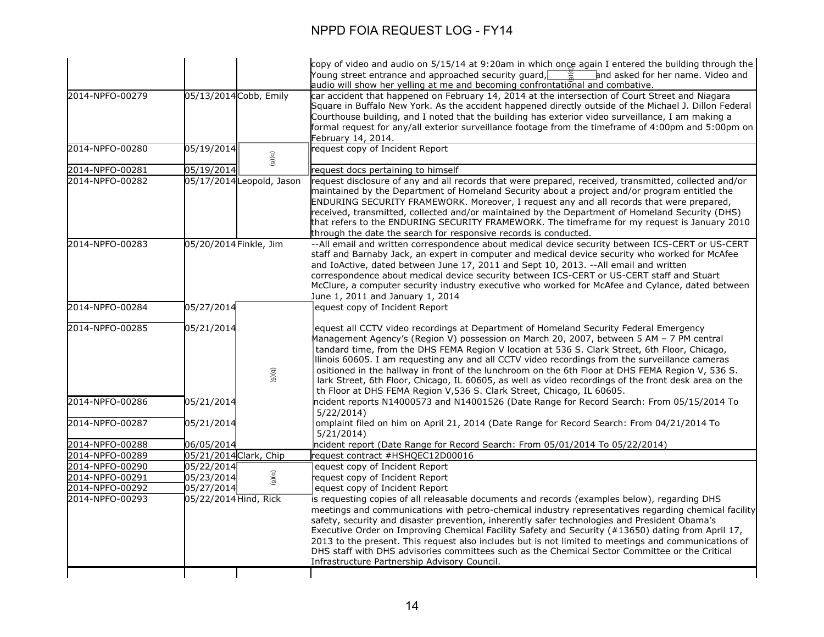|                 |                        |                           | copy of video and audio on 5/15/14 at 9:20am in which once again I entered the building through the                                                                                                                                                                                                                                                                                                                                                                                                                                                                                                                                                                       |
|-----------------|------------------------|---------------------------|---------------------------------------------------------------------------------------------------------------------------------------------------------------------------------------------------------------------------------------------------------------------------------------------------------------------------------------------------------------------------------------------------------------------------------------------------------------------------------------------------------------------------------------------------------------------------------------------------------------------------------------------------------------------------|
|                 |                        |                           | Young street entrance and approached security quard, $\Box$<br>and asked for her name. Video and<br>$\geqslant$<br>audio will show her yelling at me and becoming confrontational and combative.                                                                                                                                                                                                                                                                                                                                                                                                                                                                          |
| 2014-NPFO-00279 | 05/13/2014 Cobb, Emily |                           | car accident that happened on February 14, 2014 at the intersection of Court Street and Niagara<br>Square in Buffalo New York. As the accident happened directly outside of the Michael J. Dillon Federal<br>Courthouse building, and I noted that the building has exterior video surveillance, I am making a<br>formal request for any/all exterior surveillance footage from the timeframe of 4:00pm and 5:00pm on<br>February 14, 2014.                                                                                                                                                                                                                               |
| 2014-NPFO-00280 | 05/19/2014             | (9)(q)                    | equest copy of Incident Report                                                                                                                                                                                                                                                                                                                                                                                                                                                                                                                                                                                                                                            |
| 2014-NPFO-00281 | 05/19/2014             |                           | request docs pertaining to himself                                                                                                                                                                                                                                                                                                                                                                                                                                                                                                                                                                                                                                        |
| 2014-NPFO-00282 |                        | 05/17/2014 Leopold, Jason | request disclosure of any and all records that were prepared, received, transmitted, collected and/or<br>maintained by the Department of Homeland Security about a project and/or program entitled the<br>ENDURING SECURITY FRAMEWORK. Moreover, I request any and all records that were prepared,<br>received, transmitted, collected and/or maintained by the Department of Homeland Security (DHS)<br>that refers to the ENDURING SECURITY FRAMEWORK. The timeframe for my request is January 2010<br>through the date the search for responsive records is conducted.                                                                                                 |
| 2014-NPFO-00283 | 05/20/2014 Finkle, Jim |                           | -- All email and written correspondence about medical device security between ICS-CERT or US-CERT<br>staff and Barnaby Jack, an expert in computer and medical device security who worked for McAfee<br>and IoActive, dated between June 17, 2011 and Sept 10, 2013. --All email and written<br>correspondence about medical device security between ICS-CERT or US-CERT staff and Stuart<br>McClure, a computer security industry executive who worked for McAfee and Cylance, dated between<br>June 1, 2011 and January 1, 2014                                                                                                                                         |
| 2014-NPFO-00284 | 05/27/2014             |                           | equest copy of Incident Report                                                                                                                                                                                                                                                                                                                                                                                                                                                                                                                                                                                                                                            |
| 2014-NPFO-00285 | 05/21/2014             | (6)(6)                    | equest all CCTV video recordings at Department of Homeland Security Federal Emergency<br>Management Agency's (Region V) possession on March 20, 2007, between 5 AM - 7 PM central<br>tandard time, from the DHS FEMA Region V location at 536 S. Clark Street, 6th Floor, Chicago,<br>Ilinois 60605. I am requesting any and all CCTV video recordings from the surveillance cameras<br>ositioned in the hallway in front of the lunchroom on the 6th Floor at DHS FEMA Region V, 536 S.<br>lark Street, 6th Floor, Chicago, IL 60605, as well as video recordings of the front desk area on the<br>th Floor at DHS FEMA Region V,536 S. Clark Street, Chicago, IL 60605. |
| 2014-NPFO-00286 | 05/21/2014             |                           | ncident reports N14000573 and N14001526 (Date Range for Record Search: From 05/15/2014 To<br>5/22/2014                                                                                                                                                                                                                                                                                                                                                                                                                                                                                                                                                                    |
| 2014-NPFO-00287 | 05/21/2014             |                           | omplaint filed on him on April 21, 2014 (Date Range for Record Search: From 04/21/2014 To<br>5/21/2014                                                                                                                                                                                                                                                                                                                                                                                                                                                                                                                                                                    |
| 2014-NPFO-00288 | 06/05/2014             |                           | ncident report (Date Range for Record Search: From 05/01/2014 To 05/22/2014)                                                                                                                                                                                                                                                                                                                                                                                                                                                                                                                                                                                              |
| 2014-NPFO-00289 | 05/21/2014 Clark, Chip |                           | request contract #HSHQEC12D00016                                                                                                                                                                                                                                                                                                                                                                                                                                                                                                                                                                                                                                          |
| 2014-NPFO-00290 | 05/22/2014             |                           | equest copy of Incident Report                                                                                                                                                                                                                                                                                                                                                                                                                                                                                                                                                                                                                                            |
| 2014-NPFO-00291 | 05/23/2014             | (5)(6)                    | equest copy of Incident Report                                                                                                                                                                                                                                                                                                                                                                                                                                                                                                                                                                                                                                            |
| 2014-NPFO-00292 | 05/27/2014             |                           | equest copy of Incident Report                                                                                                                                                                                                                                                                                                                                                                                                                                                                                                                                                                                                                                            |
| 2014-NPFO-00293 | 05/22/2014 Hind, Rick  |                           | is requesting copies of all releasable documents and records (examples below), regarding DHS<br>meetings and communications with petro-chemical industry representatives regarding chemical facility<br>safety, security and disaster prevention, inherently safer technologies and President Obama's<br>Executive Order on Improving Chemical Facility Safety and Security (#13650) dating from April 17,<br>2013 to the present. This request also includes but is not limited to meetings and communications of<br>DHS staff with DHS advisories committees such as the Chemical Sector Committee or the Critical<br>Infrastructure Partnership Advisory Council.      |
|                 |                        |                           |                                                                                                                                                                                                                                                                                                                                                                                                                                                                                                                                                                                                                                                                           |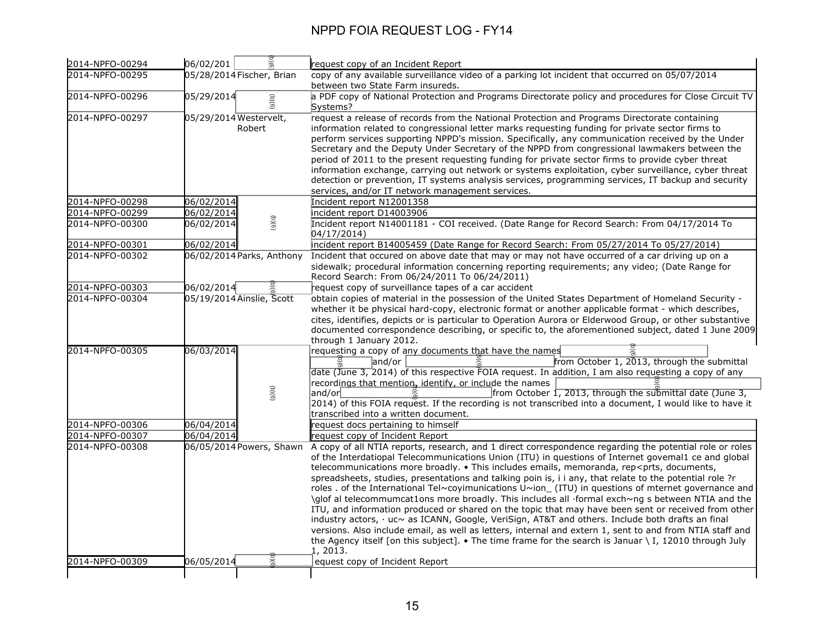| 2014-NPFO-00294 | 06/02/201                        | request copy of an Incident Report                                                                                                                                                                                                                                                                                                                                                                                                                                                                                                                                                                                                                                                                                                                                                                                                                                                                                                                                                                                                                                                                   |
|-----------------|----------------------------------|------------------------------------------------------------------------------------------------------------------------------------------------------------------------------------------------------------------------------------------------------------------------------------------------------------------------------------------------------------------------------------------------------------------------------------------------------------------------------------------------------------------------------------------------------------------------------------------------------------------------------------------------------------------------------------------------------------------------------------------------------------------------------------------------------------------------------------------------------------------------------------------------------------------------------------------------------------------------------------------------------------------------------------------------------------------------------------------------------|
| 2014-NPFO-00295 | 05/28/2014 Fischer, Brian        | copy of any available surveillance video of a parking lot incident that occurred on 05/07/2014                                                                                                                                                                                                                                                                                                                                                                                                                                                                                                                                                                                                                                                                                                                                                                                                                                                                                                                                                                                                       |
|                 |                                  | between two State Farm insureds.                                                                                                                                                                                                                                                                                                                                                                                                                                                                                                                                                                                                                                                                                                                                                                                                                                                                                                                                                                                                                                                                     |
| 2014-NPFO-00296 | 05/29/2014<br>(9)(9)             | a PDF copy of National Protection and Programs Directorate policy and procedures for Close Circuit TV<br>Systems?                                                                                                                                                                                                                                                                                                                                                                                                                                                                                                                                                                                                                                                                                                                                                                                                                                                                                                                                                                                    |
| 2014-NPFO-00297 | 05/29/2014 Westervelt,<br>Robert | request a release of records from the National Protection and Programs Directorate containing<br>information related to congressional letter marks requesting funding for private sector firms to<br>perform services supporting NPPD's mission. Specifically, any communication received by the Under<br>Secretary and the Deputy Under Secretary of the NPPD from congressional lawmakers between the<br>period of 2011 to the present requesting funding for private sector firms to provide cyber threat<br>information exchange, carrying out network or systems exploitation, cyber surveillance, cyber threat<br>detection or prevention, IT systems analysis services, programming services, IT backup and security<br>services, and/or IT network management services.                                                                                                                                                                                                                                                                                                                      |
| 2014-NPFO-00298 | 06/02/2014                       | Incident report N12001358                                                                                                                                                                                                                                                                                                                                                                                                                                                                                                                                                                                                                                                                                                                                                                                                                                                                                                                                                                                                                                                                            |
| 2014-NPFO-00299 | 06/02/2014                       | incident report D14003906                                                                                                                                                                                                                                                                                                                                                                                                                                                                                                                                                                                                                                                                                                                                                                                                                                                                                                                                                                                                                                                                            |
| 2014-NPFO-00300 | (5)(6)<br>06/02/2014             | Incident report N14001181 - COI received. (Date Range for Record Search: From 04/17/2014 To<br>04/17/2014)                                                                                                                                                                                                                                                                                                                                                                                                                                                                                                                                                                                                                                                                                                                                                                                                                                                                                                                                                                                           |
| 2014-NPFO-00301 | 06/02/2014                       | incident report B14005459 (Date Range for Record Search: From 05/27/2014 To 05/27/2014)                                                                                                                                                                                                                                                                                                                                                                                                                                                                                                                                                                                                                                                                                                                                                                                                                                                                                                                                                                                                              |
| 2014-NPFO-00302 | 06/02/2014 Parks, Anthony        | Incident that occured on above date that may or may not have occurred of a car driving up on a<br>sidewalk; procedural information concerning reporting requirements; any video; (Date Range for<br>Record Search: From 06/24/2011 To 06/24/2011)                                                                                                                                                                                                                                                                                                                                                                                                                                                                                                                                                                                                                                                                                                                                                                                                                                                    |
| 2014-NPFO-00303 | 06/02/2014                       | request copy of surveillance tapes of a car accident                                                                                                                                                                                                                                                                                                                                                                                                                                                                                                                                                                                                                                                                                                                                                                                                                                                                                                                                                                                                                                                 |
| 2014-NPFO-00304 | 05/19/2014 Ainslie, Scott        | obtain copies of material in the possession of the United States Department of Homeland Security -<br>whether it be physical hard-copy, electronic format or another applicable format - which describes,<br>cites, identifies, depicts or is particular to Operation Aurora or Elderwood Group, or other substantive<br>documented correspondence describing, or specific to, the aforementioned subject, dated 1 June 2009<br>through 1 January 2012.                                                                                                                                                                                                                                                                                                                                                                                                                                                                                                                                                                                                                                              |
| 2014-NPFO-00305 | 06/03/2014<br>(9)(6)             | requesting a copy of any documents that have the names<br>from October 1, 2013, through the submittal<br>land/or<br>date (June 3, 2014) of this respective FOIA request. In addition, I am also requesting a copy of any<br>recordings that mention, identify, or include the names<br>from October 1, 2013, through the submittal date (June 3,<br>and/or<br>2014) of this FOIA request. If the recording is not transcribed into a document, I would like to have it                                                                                                                                                                                                                                                                                                                                                                                                                                                                                                                                                                                                                               |
|                 |                                  | transcribed into a written document.                                                                                                                                                                                                                                                                                                                                                                                                                                                                                                                                                                                                                                                                                                                                                                                                                                                                                                                                                                                                                                                                 |
| 2014-NPFO-00306 | 06/04/2014                       | request docs pertaining to himself                                                                                                                                                                                                                                                                                                                                                                                                                                                                                                                                                                                                                                                                                                                                                                                                                                                                                                                                                                                                                                                                   |
| 2014-NPFO-00307 | 06/04/2014                       | request copy of Incident Report                                                                                                                                                                                                                                                                                                                                                                                                                                                                                                                                                                                                                                                                                                                                                                                                                                                                                                                                                                                                                                                                      |
| 2014-NPFO-00308 | 06/05/2014 Powers, Shawn         | A copy of all NTIA reports, research, and 1 direct correspondence regarding the potential role or roles<br>of the Interdatiopal Telecommunications Union (ITU) in questions of Internet govemal1 ce and global<br>telecommunications more broadly. • This includes emails, memoranda, rep <prts, documents,<br="">spreadsheets, studies, presentations and talking poin is, i i any, that relate to the potential role ?r<br/>roles. of the International Tel~coyimunications U~ion_ (ITU) in questions of mternet governance and<br/>\glof al telecommumcat1ons more broadly. This includes all ·formal exch~ng s between NTIA and the<br/>ITU, and information produced or shared on the topic that may have been sent or received from other<br/>industry actors, · uc~ as ICANN, Google, VeriSign, AT&amp;T and others. Include both drafts an final<br/>versions. Also include email, as well as letters, internal and extern 1, sent to and from NTIA staff and<br/>the Agency itself [on this subject]. • The time frame for the search is Januar \I, 12010 through July<br/>1, 2013.</prts,> |
| 2014-NPFO-00309 | $\overline{a}$<br>06/05/2014     | equest copy of Incident Report                                                                                                                                                                                                                                                                                                                                                                                                                                                                                                                                                                                                                                                                                                                                                                                                                                                                                                                                                                                                                                                                       |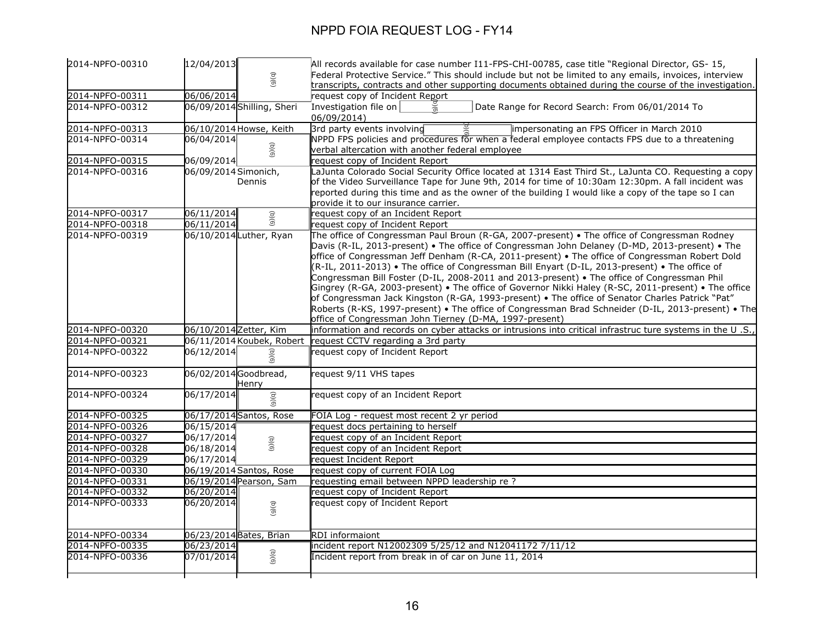| 2014-NPFO-00310                    | 12/04/2013                 |                           | All records available for case number I11-FPS-CHI-00785, case title "Regional Director, GS- 15,                                                                       |
|------------------------------------|----------------------------|---------------------------|-----------------------------------------------------------------------------------------------------------------------------------------------------------------------|
|                                    |                            |                           | Federal Protective Service." This should include but not be limited to any emails, invoices, interview                                                                |
|                                    |                            | (5)(6)                    | transcripts, contracts and other supporting documents obtained during the course of the investigation.                                                                |
| 2014-NPFO-00311                    | 06/06/2014                 |                           | request copy of Incident Report                                                                                                                                       |
| 2014-NPFO-00312                    | 06/09/2014 Shilling, Sheri |                           | Investigation file on<br>Date Range for Record Search: From 06/01/2014 To                                                                                             |
|                                    |                            |                           | 06/09/2014)                                                                                                                                                           |
| 2014-NPFO-00313                    | 06/10/2014 Howse, Keith    |                           | 3rd party events involving<br>impersonating an FPS Officer in March 2010                                                                                              |
| 2014-NPFO-00314                    | 06/04/2014                 |                           | NPPD FPS policies and procedures for when a federal employee contacts FPS due to a threatening                                                                        |
|                                    |                            | (9)(q)                    | verbal altercation with another federal employee                                                                                                                      |
| 2014-NPFO-00315                    | 06/09/2014                 |                           | equest copy of Incident Report                                                                                                                                        |
| 2014-NPFO-00316                    | 06/09/2014 Simonich,       |                           | aJunta Colorado Social Security Office located at 1314 East Third St., LaJunta CO. Requesting a copy                                                                  |
|                                    |                            | Dennis                    | of the Video Surveillance Tape for June 9th, 2014 for time of 10:30am 12:30pm. A fall incident was                                                                    |
|                                    |                            |                           | reported during this time and as the owner of the building I would like a copy of the tape so I can                                                                   |
|                                    |                            |                           | provide it to our insurance carrier.                                                                                                                                  |
| 2014-NPFO-00317                    | 06/11/2014                 | (9)(q)                    | request copy of an Incident Report                                                                                                                                    |
| 2014-NPFO-00318                    | 06/11/2014                 |                           | request copy of Incident Report                                                                                                                                       |
| 2014-NPFO-00319                    | 06/10/2014 Luther, Ryan    |                           | The office of Congressman Paul Broun (R-GA, 2007-present) • The office of Congressman Rodney                                                                          |
|                                    |                            |                           | Davis (R-IL, 2013-present) • The office of Congressman John Delaney (D-MD, 2013-present) • The                                                                        |
|                                    |                            |                           | office of Congressman Jeff Denham (R-CA, 2011-present) . The office of Congressman Robert Dold                                                                        |
|                                    |                            |                           | (R-IL, 2011-2013) • The office of Congressman Bill Enyart (D-IL, 2013-present) • The office of                                                                        |
|                                    |                            |                           | Congressman Bill Foster (D-IL, 2008-2011 and 2013-present) • The office of Congressman Phil                                                                           |
|                                    |                            |                           | Gingrey (R-GA, 2003-present) • The office of Governor Nikki Haley (R-SC, 2011-present) • The office                                                                   |
|                                    |                            |                           | of Congressman Jack Kingston (R-GA, 1993-present) . The office of Senator Charles Patrick "Pat"                                                                       |
|                                    |                            |                           | Roberts (R-KS, 1997-present) • The office of Congressman Brad Schneider (D-IL, 2013-present) • The                                                                    |
|                                    |                            |                           | office of Congressman John Tierney (D-MA, 1997-present)<br>information and records on cyber attacks or intrusions into critical infrastruc ture systems in the U .S., |
| 2014-NPFO-00320<br>2014-NPFO-00321 | 06/10/2014 Zetter, Kim     | 06/11/2014 Koubek, Robert | request CCTV regarding a 3rd party                                                                                                                                    |
| 2014-NPFO-00322                    | 06/12/2014                 |                           | request copy of Incident Report                                                                                                                                       |
|                                    |                            |                           |                                                                                                                                                                       |
| 2014-NPFO-00323                    | 06/02/2014Goodbread,       |                           | request 9/11 VHS tapes                                                                                                                                                |
| 2014-NPFO-00324                    | 06/17/2014                 | Henry                     |                                                                                                                                                                       |
|                                    |                            | (9)(q)                    | request copy of an Incident Report                                                                                                                                    |
| 2014-NPFO-00325                    | 06/17/2014 Santos, Rose    |                           | FOIA Log - request most recent 2 yr period                                                                                                                            |
| 2014-NPFO-00326                    | 06/15/2014                 |                           | request docs pertaining to herself                                                                                                                                    |
| 2014-NPFO-00327                    | 06/17/2014                 |                           | request copy of an Incident Report                                                                                                                                    |
| 2014-NPFO-00328                    | 06/18/2014                 | (5)(6)                    | request copy of an Incident Report                                                                                                                                    |
| 2014-NPFO-00329                    | 06/17/2014                 |                           | equest Incident Report                                                                                                                                                |
| 2014-NPFO-00330                    | 06/19/2014 Santos, Rose    |                           | request copy of current FOIA Log                                                                                                                                      |
| 2014-NPFO-00331                    | 06/19/2014 Pearson, Sam    |                           | requesting email between NPPD leadership re ?                                                                                                                         |
| 2014-NPFO-00332                    | 06/20/2014                 |                           | request copy of Incident Report                                                                                                                                       |
| 2014-NPFO-00333                    | 06/20/2014                 | (5)(6)                    | request copy of Incident Report                                                                                                                                       |
| 2014-NPFO-00334                    | 06/23/2014 Bates, Brian    |                           | <b>RDI</b> informaiont                                                                                                                                                |
| 2014-NPFO-00335                    | 06/23/2014                 |                           | incident report N12002309 5/25/12 and N12041172 7/11/12                                                                                                               |
| 2014-NPFO-00336                    | 07/01/2014                 | (9)(q)                    | Incident report from break in of car on June 11, 2014                                                                                                                 |
|                                    |                            |                           |                                                                                                                                                                       |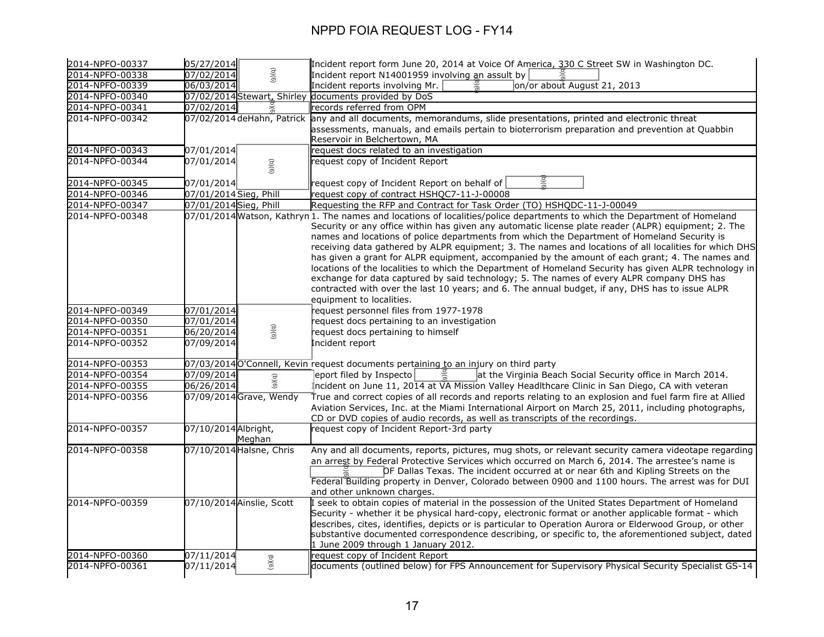| 2014-NPFO-00337 | 05/27/2014             |                           | Incident report form June 20, 2014 at Voice Of America, 330 C Street SW in Washington DC.                                                                                                                                                                                                                                                                                                                                                                                                                                                                                                                                                                                                                                                                                                                                                                                         |
|-----------------|------------------------|---------------------------|-----------------------------------------------------------------------------------------------------------------------------------------------------------------------------------------------------------------------------------------------------------------------------------------------------------------------------------------------------------------------------------------------------------------------------------------------------------------------------------------------------------------------------------------------------------------------------------------------------------------------------------------------------------------------------------------------------------------------------------------------------------------------------------------------------------------------------------------------------------------------------------|
| 2014-NPFO-00338 | 07/02/2014             | (9)(q)                    | Incident report N14001959 involving an assult by                                                                                                                                                                                                                                                                                                                                                                                                                                                                                                                                                                                                                                                                                                                                                                                                                                  |
| 2014-NPFO-00339 | 06/03/2014             |                           | on/or about August 21, 2013<br>Incident reports involving Mr.                                                                                                                                                                                                                                                                                                                                                                                                                                                                                                                                                                                                                                                                                                                                                                                                                     |
| 2014-NPFO-00340 |                        |                           | 07/02/2014 Stewart, Shirley documents provided by DoS                                                                                                                                                                                                                                                                                                                                                                                                                                                                                                                                                                                                                                                                                                                                                                                                                             |
| 2014-NPFO-00341 | 07/02/2014             |                           | records referred from OPM                                                                                                                                                                                                                                                                                                                                                                                                                                                                                                                                                                                                                                                                                                                                                                                                                                                         |
| 2014-NPFO-00342 |                        |                           | 07/02/2014 deHahn, Patrick any and all documents, memorandums, slide presentations, printed and electronic threat                                                                                                                                                                                                                                                                                                                                                                                                                                                                                                                                                                                                                                                                                                                                                                 |
|                 |                        |                           | assessments, manuals, and emails pertain to bioterrorism preparation and prevention at Quabbin<br>Reservoir in Belchertown, MA                                                                                                                                                                                                                                                                                                                                                                                                                                                                                                                                                                                                                                                                                                                                                    |
| 2014-NPFO-00343 | 07/01/2014             |                           | request docs related to an investigation                                                                                                                                                                                                                                                                                                                                                                                                                                                                                                                                                                                                                                                                                                                                                                                                                                          |
| 2014-NPFO-00344 | 07/01/2014             | (9)(q)                    | equest copy of Incident Report                                                                                                                                                                                                                                                                                                                                                                                                                                                                                                                                                                                                                                                                                                                                                                                                                                                    |
| 2014-NPFO-00345 | 07/01/2014             |                           | ig<br>G<br>request copy of Incident Report on behalf of                                                                                                                                                                                                                                                                                                                                                                                                                                                                                                                                                                                                                                                                                                                                                                                                                           |
| 2014-NPFO-00346 | 07/01/2014 Sieg, Phill |                           | request copy of contract HSHQC7-11-J-00008                                                                                                                                                                                                                                                                                                                                                                                                                                                                                                                                                                                                                                                                                                                                                                                                                                        |
| 2014-NPFO-00347 | 07/01/2014 Sieg, Phill |                           | Requesting the RFP and Contract for Task Order (TO) HSHQDC-11-J-00049                                                                                                                                                                                                                                                                                                                                                                                                                                                                                                                                                                                                                                                                                                                                                                                                             |
| 2014-NPFO-00348 |                        |                           | 07/01/2014 Watson, Kathryn 1. The names and locations of localities/police departments to which the Department of Homeland<br>Security or any office within has given any automatic license plate reader (ALPR) equipment; 2. The<br>names and locations of police departments from which the Department of Homeland Security is<br>receiving data gathered by ALPR equipment; 3. The names and locations of all localities for which DHS<br>has given a grant for ALPR equipment, accompanied by the amount of each grant; 4. The names and<br>locations of the localities to which the Department of Homeland Security has given ALPR technology in<br>exchange for data captured by said technology; 5. The names of every ALPR company DHS has<br>contracted with over the last 10 years; and 6. The annual budget, if any, DHS has to issue ALPR<br>equipment to localities. |
| 2014-NPFO-00349 | 07/01/2014             |                           | request personnel files from 1977-1978                                                                                                                                                                                                                                                                                                                                                                                                                                                                                                                                                                                                                                                                                                                                                                                                                                            |
| 2014-NPFO-00350 | 07/01/2014             |                           | request docs pertaining to an investigation                                                                                                                                                                                                                                                                                                                                                                                                                                                                                                                                                                                                                                                                                                                                                                                                                                       |
| 2014-NPFO-00351 | 06/20/2014             | (9)(q)                    | request docs pertaining to himself                                                                                                                                                                                                                                                                                                                                                                                                                                                                                                                                                                                                                                                                                                                                                                                                                                                |
| 2014-NPFO-00352 | 07/09/2014             |                           | Incident report                                                                                                                                                                                                                                                                                                                                                                                                                                                                                                                                                                                                                                                                                                                                                                                                                                                                   |
| 2014-NPFO-00353 |                        |                           | 07/03/2014 O'Connell, Kevin request documents pertaining to an injury on third party                                                                                                                                                                                                                                                                                                                                                                                                                                                                                                                                                                                                                                                                                                                                                                                              |
| 2014-NPFO-00354 | 07/09/2014             |                           | 9)(q<br>eport filed by Inspecto<br>at the Virginia Beach Social Security office in March 2014.                                                                                                                                                                                                                                                                                                                                                                                                                                                                                                                                                                                                                                                                                                                                                                                    |
| 2014-NPFO-00355 | 06/26/2014             | (5)(6)                    | Incident on June 11, 2014 at VA Mission Valley Headlthcare Clinic in San Diego, CA with veteran                                                                                                                                                                                                                                                                                                                                                                                                                                                                                                                                                                                                                                                                                                                                                                                   |
| 2014-NPFO-00356 |                        | 07/09/2014 Grave, Wendy   | True and correct copies of all records and reports relating to an explosion and fuel farm fire at Allied<br>Aviation Services, Inc. at the Miami International Airport on March 25, 2011, including photographs,<br>CD or DVD copies of audio records, as well as transcripts of the recordings.                                                                                                                                                                                                                                                                                                                                                                                                                                                                                                                                                                                  |
| 2014-NPFO-00357 | 07/10/2014 Albright,   | Meghan                    | request copy of Incident Report-3rd party                                                                                                                                                                                                                                                                                                                                                                                                                                                                                                                                                                                                                                                                                                                                                                                                                                         |
| 2014-NPFO-00358 |                        | 07/10/2014 Halsne, Chris  | Any and all documents, reports, pictures, mug shots, or relevant security camera videotape regarding<br>an arrest by Federal Protective Services which occurred on March 6, 2014. The arrestee's name is<br>OF Dallas Texas. The incident occurred at or near 6th and Kipling Streets on the<br>Federal Building property in Denver, Colorado between 0900 and 1100 hours. The arrest was for DUI<br>and other unknown charges.                                                                                                                                                                                                                                                                                                                                                                                                                                                   |
| 2014-NPFO-00359 |                        | 07/10/2014 Ainslie, Scott | I seek to obtain copies of material in the possession of the United States Department of Homeland<br>Security - whether it be physical hard-copy, electronic format or another applicable format - which<br>describes, cites, identifies, depicts or is particular to Operation Aurora or Elderwood Group, or other<br>substantive documented correspondence describing, or specific to, the aforementioned subject, dated<br>1 June 2009 through 1 January 2012.                                                                                                                                                                                                                                                                                                                                                                                                                 |
| 2014-NPFO-00360 | 07/11/2014             | (9)(q)                    | request copy of Incident Report                                                                                                                                                                                                                                                                                                                                                                                                                                                                                                                                                                                                                                                                                                                                                                                                                                                   |
| 2014-NPFO-00361 | 07/11/2014             |                           | documents (outlined below) for FPS Announcement for Supervisory Physical Security Specialist GS-14                                                                                                                                                                                                                                                                                                                                                                                                                                                                                                                                                                                                                                                                                                                                                                                |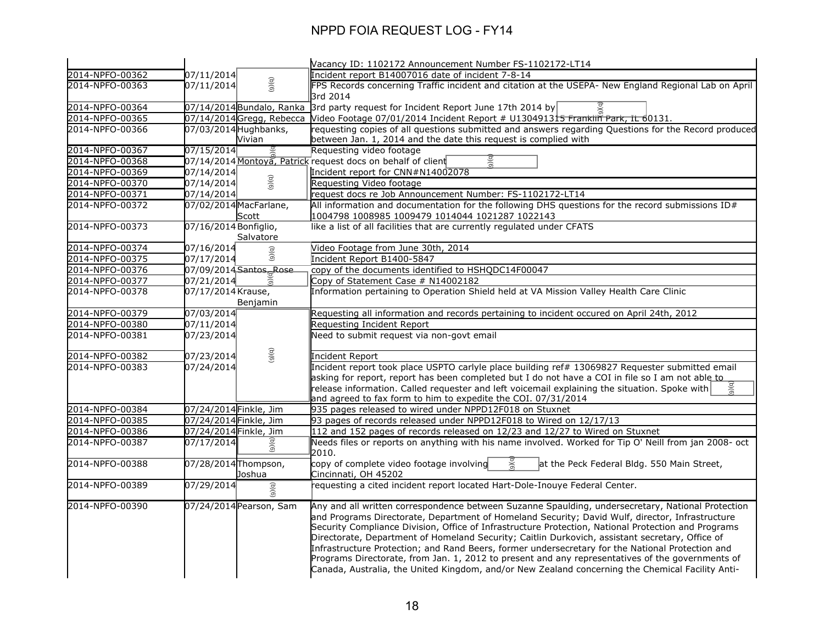|                 |                                    | Vacancy ID: 1102172 Announcement Number FS-1102172-LT14                                                                                                                                                                                                                                                                                                                                                                                                                                                                                                                                                                                                                                                                    |
|-----------------|------------------------------------|----------------------------------------------------------------------------------------------------------------------------------------------------------------------------------------------------------------------------------------------------------------------------------------------------------------------------------------------------------------------------------------------------------------------------------------------------------------------------------------------------------------------------------------------------------------------------------------------------------------------------------------------------------------------------------------------------------------------------|
| 2014-NPFO-00362 | 07/11/2014                         | Incident report B14007016 date of incident 7-8-14                                                                                                                                                                                                                                                                                                                                                                                                                                                                                                                                                                                                                                                                          |
| 2014-NPFO-00363 | (b)(6)<br>07/11/2014               | FPS Records concerning Traffic incident and citation at the USEPA- New England Regional Lab on April<br>3rd 2014                                                                                                                                                                                                                                                                                                                                                                                                                                                                                                                                                                                                           |
| 2014-NPFO-00364 | 07/14/2014 Bundalo, Ranka          | $\vert$ 3rd party request for Incident Report June 17th 2014 by                                                                                                                                                                                                                                                                                                                                                                                                                                                                                                                                                                                                                                                            |
| 2014-NPFO-00365 | 07/14/2014Gregg, Rebecca           | Video Footage 07/01/2014 Incident Report # U130491315 Franklin Park, it 60131.                                                                                                                                                                                                                                                                                                                                                                                                                                                                                                                                                                                                                                             |
| 2014-NPFO-00366 | 07/03/2014 Hughbanks,              | requesting copies of all questions submitted and answers regarding Questions for the Record produced                                                                                                                                                                                                                                                                                                                                                                                                                                                                                                                                                                                                                       |
|                 | Vivian                             | between Jan. 1, 2014 and the date this request is complied with                                                                                                                                                                                                                                                                                                                                                                                                                                                                                                                                                                                                                                                            |
| 2014-NPFO-00367 | 07/15/2014                         | Requesting video footage                                                                                                                                                                                                                                                                                                                                                                                                                                                                                                                                                                                                                                                                                                   |
| 2014-NPFO-00368 |                                    | $\frac{1}{9}$<br>07/14/2014 Montoya, Patrick request docs on behalf of client                                                                                                                                                                                                                                                                                                                                                                                                                                                                                                                                                                                                                                              |
| 2014-NPFO-00369 | 07/14/2014                         | Incident report for CNN#N14002078                                                                                                                                                                                                                                                                                                                                                                                                                                                                                                                                                                                                                                                                                          |
| 2014-NPFO-00370 | (9)(q)<br>07/14/2014               | Requesting Video footage                                                                                                                                                                                                                                                                                                                                                                                                                                                                                                                                                                                                                                                                                                   |
| 2014-NPFO-00371 | 07/14/2014                         | request docs re Job Announcement Number: FS-1102172-LT14                                                                                                                                                                                                                                                                                                                                                                                                                                                                                                                                                                                                                                                                   |
| 2014-NPFO-00372 | 07/02/2014 MacFarlane,             | All information and documentation for the following DHS questions for the record submissions $ID#$                                                                                                                                                                                                                                                                                                                                                                                                                                                                                                                                                                                                                         |
| 2014-NPFO-00373 | Scott                              | 1004798 1008985 1009479 1014044 1021287 1022143                                                                                                                                                                                                                                                                                                                                                                                                                                                                                                                                                                                                                                                                            |
|                 | 07/16/2014 Bonfiglio,<br>Salvatore | like a list of all facilities that are currently regulated under CFATS                                                                                                                                                                                                                                                                                                                                                                                                                                                                                                                                                                                                                                                     |
| 2014-NPFO-00374 | 07/16/2014<br>(5)(6)               | Video Footage from June 30th, 2014                                                                                                                                                                                                                                                                                                                                                                                                                                                                                                                                                                                                                                                                                         |
| 2014-NPFO-00375 | 07/17/2014                         | Incident Report B1400-5847                                                                                                                                                                                                                                                                                                                                                                                                                                                                                                                                                                                                                                                                                                 |
| 2014-NPFO-00376 | 07/09/2014 Santos, Rose            | copy of the documents identified to HSHQDC14F00047                                                                                                                                                                                                                                                                                                                                                                                                                                                                                                                                                                                                                                                                         |
| 2014-NPFO-00377 | 07/21/2014<br>$\bar{\hat{\sigma}}$ | Copy of Statement Case # N14002182                                                                                                                                                                                                                                                                                                                                                                                                                                                                                                                                                                                                                                                                                         |
| 2014-NPFO-00378 | 07/17/2014 Krause,                 | Information pertaining to Operation Shield held at VA Mission Valley Health Care Clinic                                                                                                                                                                                                                                                                                                                                                                                                                                                                                                                                                                                                                                    |
|                 | Benjamin                           |                                                                                                                                                                                                                                                                                                                                                                                                                                                                                                                                                                                                                                                                                                                            |
| 2014-NPFO-00379 | 07/03/2014                         | Requesting all information and records pertaining to incident occured on April 24th, 2012                                                                                                                                                                                                                                                                                                                                                                                                                                                                                                                                                                                                                                  |
| 2014-NPFO-00380 | 07/11/2014                         | Requesting Incident Report                                                                                                                                                                                                                                                                                                                                                                                                                                                                                                                                                                                                                                                                                                 |
| 2014-NPFO-00381 | 07/23/2014                         | Need to submit request via non-govt email                                                                                                                                                                                                                                                                                                                                                                                                                                                                                                                                                                                                                                                                                  |
| 2014-NPFO-00382 | (9)(6)<br>07/23/2014               | Incident Report                                                                                                                                                                                                                                                                                                                                                                                                                                                                                                                                                                                                                                                                                                            |
| 2014-NPFO-00383 | 07/24/2014                         | Incident report took place USPTO carlyle place building ref# 13069827 Requester submitted email                                                                                                                                                                                                                                                                                                                                                                                                                                                                                                                                                                                                                            |
|                 |                                    | asking for report, report has been completed but I do not have a COI in file so I am not able to                                                                                                                                                                                                                                                                                                                                                                                                                                                                                                                                                                                                                           |
|                 |                                    | (a)<br>release information. Called requester and left voicemail explaining the situation. Spoke with                                                                                                                                                                                                                                                                                                                                                                                                                                                                                                                                                                                                                       |
|                 |                                    | and agreed to fax form to him to expedite the COI. 07/31/2014                                                                                                                                                                                                                                                                                                                                                                                                                                                                                                                                                                                                                                                              |
| 2014-NPFO-00384 | 07/24/2014 Finkle, Jim             | 935 pages released to wired under NPPD12F018 on Stuxnet                                                                                                                                                                                                                                                                                                                                                                                                                                                                                                                                                                                                                                                                    |
| 2014-NPFO-00385 | 07/24/2014 Finkle, Jim             | 93 pages of records released under NPPD12F018 to Wired on 12/17/13                                                                                                                                                                                                                                                                                                                                                                                                                                                                                                                                                                                                                                                         |
| 2014-NPFO-00386 | 07/24/2014 Finkle, Jim             | 112 and 152 pages of records released on 12/23 and 12/27 to Wired on Stuxnet                                                                                                                                                                                                                                                                                                                                                                                                                                                                                                                                                                                                                                               |
| 2014-NPFO-00387 | 07/17/2014<br>(5)(6)               | Needs files or reports on anything with his name involved. Worked for Tip O' Neill from jan 2008- oct<br>2010.                                                                                                                                                                                                                                                                                                                                                                                                                                                                                                                                                                                                             |
| 2014-NPFO-00388 | 07/28/2014 Thompson,<br>Joshua     | э) (q<br>copy of complete video footage involving<br>at the Peck Federal Bldg. 550 Main Street,<br>Cincinnati, OH 45202                                                                                                                                                                                                                                                                                                                                                                                                                                                                                                                                                                                                    |
| 2014-NPFO-00389 | 07/29/2014                         | requesting a cited incident report located Hart-Dole-Inouye Federal Center.                                                                                                                                                                                                                                                                                                                                                                                                                                                                                                                                                                                                                                                |
|                 | (9)(q)                             |                                                                                                                                                                                                                                                                                                                                                                                                                                                                                                                                                                                                                                                                                                                            |
| 2014-NPFO-00390 | 07/24/2014 Pearson, Sam            | Any and all written correspondence between Suzanne Spaulding, undersecretary, National Protection<br>and Programs Directorate, Department of Homeland Security; David Wulf, director, Infrastructure<br>Security Compliance Division, Office of Infrastructure Protection, National Protection and Programs<br>Directorate, Department of Homeland Security; Caitlin Durkovich, assistant secretary, Office of<br>Infrastructure Protection; and Rand Beers, former undersecretary for the National Protection and<br>Programs Directorate, from Jan. 1, 2012 to present and any representatives of the governments of<br>Canada, Australia, the United Kingdom, and/or New Zealand concerning the Chemical Facility Anti- |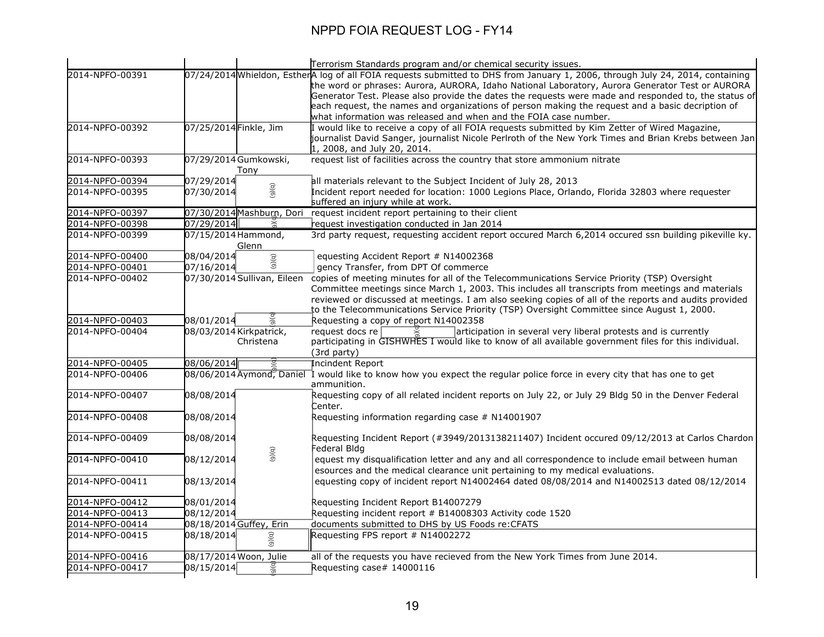|                 |                             | Terrorism Standards program and/or chemical security issues.                                                                                                                 |
|-----------------|-----------------------------|------------------------------------------------------------------------------------------------------------------------------------------------------------------------------|
| 2014-NPFO-00391 |                             | 07/24/2014 Whieldon, EstherA log of all FOIA requests submitted to DHS from January 1, 2006, through July 24, 2014, containing                                               |
|                 |                             | the word or phrases: Aurora, AURORA, Idaho National Laboratory, Aurora Generator Test or AURORA                                                                              |
|                 |                             | Generator Test. Please also provide the dates the requests were made and responded to, the status of                                                                         |
|                 |                             | each request, the names and organizations of person making the request and a basic decription of                                                                             |
|                 |                             | what information was released and when and the FOIA case number.                                                                                                             |
| 2014-NPFO-00392 | 07/25/2014 Finkle, Jim      | I would like to receive a copy of all FOIA requests submitted by Kim Zetter of Wired Magazine,                                                                               |
|                 |                             | $\,$ journalist David Sanger, journalist Nicole Perlroth of the New York Times and Brian Krebs between Jan $\,$                                                              |
|                 |                             | 1, 2008, and July 20, 2014.                                                                                                                                                  |
| 2014-NPFO-00393 | 07/29/2014 Gumkowski,       | request list of facilities across the country that store ammonium nitrate                                                                                                    |
|                 | Tony                        |                                                                                                                                                                              |
| 2014-NPFO-00394 | 07/29/2014                  | all materials relevant to the Subject Incident of July 28, 2013                                                                                                              |
| 2014-NPFO-00395 | ( b ) ( 6 )<br>07/30/2014   | Incident report needed for location: 1000 Legions Place, Orlando, Florida 32803 where requester                                                                              |
|                 |                             | suffered an injury while at work.                                                                                                                                            |
| 2014-NPFO-00397 | 07/30/2014 Mashburn, Dori   | request incident report pertaining to their client                                                                                                                           |
| 2014-NPFO-00398 | 07/29/2014<br>ă             | request investigation conducted in Jan 2014                                                                                                                                  |
| 2014-NPFO-00399 | 07/15/2014 Hammond,         | 3rd party request, requesting accident report occured March 6,2014 occured ssn building pikeville ky.                                                                        |
|                 | Glenn                       |                                                                                                                                                                              |
| 2014-NPFO-00400 | 08/04/2014<br>(5)(6)        | equesting Accident Report # N14002368                                                                                                                                        |
| 2014-NPFO-00401 | 07/16/2014                  | gency Transfer, from DPT Of commerce                                                                                                                                         |
| 2014-NPFO-00402 | 07/30/2014 Sullivan, Eileen | copies of meeting minutes for all of the Telecommunications Service Priority (TSP) Oversight                                                                                 |
|                 |                             | Committee meetings since March 1, 2003. This includes all transcripts from meetings and materials                                                                            |
|                 |                             | reviewed or discussed at meetings. I am also seeking copies of all of the reports and audits provided                                                                        |
|                 |                             | to the Telecommunications Service Priority (TSP) Oversight Committee since August 1, 2000.                                                                                   |
| 2014-NPFO-00403 | 08/01/2014                  | Requesting a copy of report N14002358                                                                                                                                        |
| 2014-NPFO-00404 | 08/03/2014 Kirkpatrick,     | request docs re<br>articipation in several very liberal protests and is currently                                                                                            |
|                 | Christena                   | participating in GISHWHES I would like to know of all available government files for this individual.                                                                        |
|                 |                             | (3rd party)                                                                                                                                                                  |
| 2014-NPFO-00405 | 08/06/2014                  | <b>Incindent Report</b>                                                                                                                                                      |
| 2014-NPFO-00406 |                             | 08/06/2014 Aymond, Daniel 1 would like to know how you expect the regular police force in every city that has one to get                                                     |
|                 |                             | ammunition.                                                                                                                                                                  |
| 2014-NPFO-00407 | 08/08/2014                  | Requesting copy of all related incident reports on July 22, or July 29 Bldg 50 in the Denver Federal                                                                         |
|                 |                             | Center.                                                                                                                                                                      |
| 2014-NPFO-00408 | 08/08/2014                  | Requesting information regarding case # N14001907                                                                                                                            |
|                 |                             |                                                                                                                                                                              |
| 2014-NPFO-00409 | 08/08/2014                  | Requesting Incident Report (#3949/2013138211407) Incident occured 09/12/2013 at Carlos Chardon<br>Federal Bldg                                                               |
| 2014-NPFO-00410 | (9)(q)<br>08/12/2014        | equest my disqualification letter and any and all correspondence to include email between human                                                                              |
|                 |                             |                                                                                                                                                                              |
| 2014-NPFO-00411 |                             | esources and the medical clearance unit pertaining to my medical evaluations.<br>equesting copy of incident report N14002464 dated 08/08/2014 and N14002513 dated 08/12/2014 |
|                 | 08/13/2014                  |                                                                                                                                                                              |
| 2014-NPFO-00412 | 08/01/2014                  | Requesting Incident Report B14007279                                                                                                                                         |
| 2014-NPFO-00413 | 08/12/2014                  | Requesting incident report # B14008303 Activity code 1520                                                                                                                    |
| 2014-NPFO-00414 | 08/18/2014 Guffey, Erin     | documents submitted to DHS by US Foods re: CFATS                                                                                                                             |
| 2014-NPFO-00415 | 08/18/2014                  | Requesting FPS report # N14002272                                                                                                                                            |
|                 | (6)(6)                      |                                                                                                                                                                              |
| 2014-NPFO-00416 | 08/17/2014 Woon, Julie      | all of the requests you have recieved from the New York Times from June 2014.                                                                                                |
| 2014-NPFO-00417 | 08/15/2014                  | Requesting case# 14000116                                                                                                                                                    |
|                 | $\frac{1}{9}$               |                                                                                                                                                                              |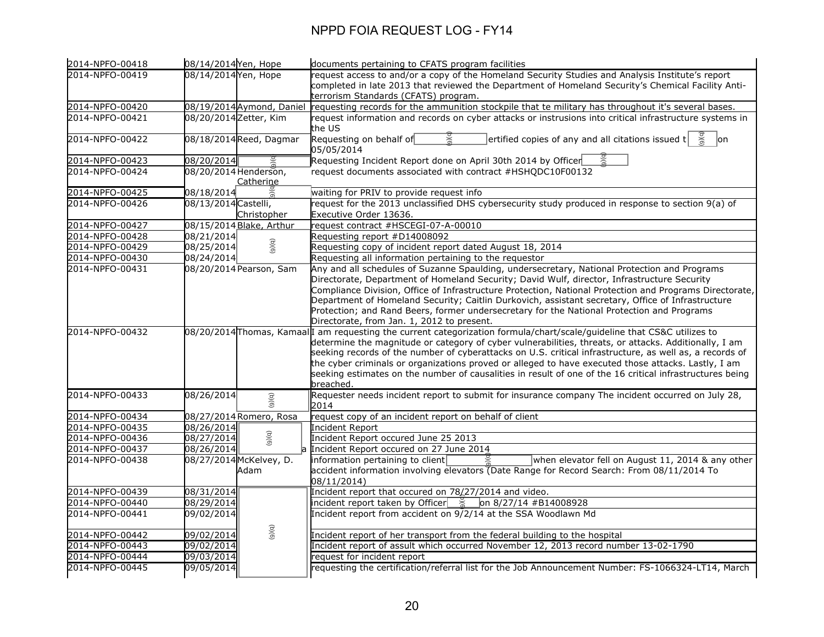| 2014-NPFO-00418 | 08/14/2014 Yen, Hope              | documents pertaining to CFATS program facilities                                                                                                                                                                 |
|-----------------|-----------------------------------|------------------------------------------------------------------------------------------------------------------------------------------------------------------------------------------------------------------|
| 2014-NPFO-00419 | 08/14/2014 Yen, Hope              | request access to and/or a copy of the Homeland Security Studies and Analysis Institute's report                                                                                                                 |
|                 |                                   | completed in late 2013 that reviewed the Department of Homeland Security's Chemical Facility Anti-                                                                                                               |
|                 |                                   | terrorism Standards (CFATS) program.                                                                                                                                                                             |
| 2014-NPFO-00420 | 08/19/2014 Aymond, Daniel         | requesting records for the ammunition stockpile that te military has throughout it's several bases.                                                                                                              |
| 2014-NPFO-00421 | 08/20/2014 Zetter, Kim            | request information and records on cyber attacks or instrusions into critical infrastructure systems in                                                                                                          |
|                 |                                   | the US                                                                                                                                                                                                           |
| 2014-NPFO-00422 | 08/18/2014 Reed, Dagmar           | $ $ ertified copies of any and all citations issued t $ $<br>Requesting on behalf of<br>lon                                                                                                                      |
|                 |                                   | 05/05/2014                                                                                                                                                                                                       |
| 2014-NPFO-00423 | 08/20/2014                        | Requesting Incident Report done on April 30th 2014 by Officer                                                                                                                                                    |
| 2014-NPFO-00424 | 08/20/2014 Henderson,             | request documents associated with contract #HSHQDC10F00132                                                                                                                                                       |
|                 | Catherine                         |                                                                                                                                                                                                                  |
| 2014-NPFO-00425 | 08/18/2014                        | waiting for PRIV to provide request info                                                                                                                                                                         |
| 2014-NPFO-00426 | 08/13/2014 Castelli,              | request for the 2013 unclassified DHS cybersecurity study produced in response to section 9(a) of                                                                                                                |
|                 | Christopher                       | Executive Order 13636.                                                                                                                                                                                           |
| 2014-NPFO-00427 | 08/15/2014 Blake, Arthur          | request contract #HSCEGI-07-A-00010                                                                                                                                                                              |
| 2014-NPFO-00428 | 08/21/2014                        | Requesting report #D14008092                                                                                                                                                                                     |
| 2014-NPFO-00429 | (9)(q)<br>08/25/2014              | Requesting copy of incident report dated August 18, 2014                                                                                                                                                         |
| 2014-NPFO-00430 | 08/24/2014                        | Requesting all information pertaining to the requestor                                                                                                                                                           |
| 2014-NPFO-00431 | 08/20/2014 Pearson, Sam           | Any and all schedules of Suzanne Spaulding, undersecretary, National Protection and Programs                                                                                                                     |
|                 |                                   | Directorate, Department of Homeland Security; David Wulf, director, Infrastructure Security                                                                                                                      |
|                 |                                   | Compliance Division, Office of Infrastructure Protection, National Protection and Programs Directorate,                                                                                                          |
|                 |                                   | Department of Homeland Security; Caitlin Durkovich, assistant secretary, Office of Infrastructure                                                                                                                |
|                 |                                   | Protection; and Rand Beers, former undersecretary for the National Protection and Programs                                                                                                                       |
|                 |                                   | Directorate, from Jan. 1, 2012 to present.                                                                                                                                                                       |
| 2014-NPFO-00432 |                                   | 08/20/2014 Thomas, Kamaal I am requesting the current categorization formula/chart/scale/guideline that CS&C utilizes to                                                                                         |
|                 |                                   | determine the magnitude or category of cyber vulnerabilities, threats, or attacks. Additionally, I am<br>seeking records of the number of cyberattacks on U.S. critical infrastructure, as well as, a records of |
|                 |                                   | the cyber criminals or organizations proved or alleged to have executed those attacks. Lastly, I am                                                                                                              |
|                 |                                   | seeking estimates on the number of causalities in result of one of the 16 critical infrastructures being                                                                                                         |
|                 |                                   | breached.                                                                                                                                                                                                        |
| 2014-NPFO-00433 | 08/26/2014                        | Requester needs incident report to submit for insurance company The incident occurred on July 28,                                                                                                                |
|                 | (5)(6)                            | 2014                                                                                                                                                                                                             |
| 2014-NPFO-00434 | 08/27/2014 Romero, Rosa           | request copy of an incident report on behalf of client                                                                                                                                                           |
| 2014-NPFO-00435 | 08/26/2014                        | Incident Report                                                                                                                                                                                                  |
| 2014-NPFO-00436 | (9)(0)<br>$\overline{08/27/20}14$ | Incident Report occured June 25 2013                                                                                                                                                                             |
| 2014-NPFO-00437 | 08/26/2014                        | Incident Report occured on 27 June 2014                                                                                                                                                                          |
| 2014-NPFO-00438 | 08/27/2014 McKelvey, D.           | when elevator fell on August 11, 2014 & any other<br>information pertaining to client                                                                                                                            |
|                 | Adam                              | accident information involving elevators (Date Range for Record Search: From 08/11/2014 To                                                                                                                       |
|                 |                                   | 08/11/2014)                                                                                                                                                                                                      |
| 2014-NPFO-00439 | 08/31/2014                        | Incident report that occured on 78/27/2014 and video.                                                                                                                                                            |
| 2014-NPFO-00440 | 08/29/2014                        | incident report taken by Officer $\frac{9}{6}$ on 8/27/14 #B14008928                                                                                                                                             |
| 2014-NPFO-00441 | 09/02/2014                        | Incident report from accident on $9/2/14$ at the SSA Woodlawn Md                                                                                                                                                 |
|                 |                                   |                                                                                                                                                                                                                  |
| 2014-NPFO-00442 | (9)(6)<br>09/02/2014              | Incident report of her transport from the federal building to the hospital                                                                                                                                       |
| 2014-NPFO-00443 | 09/02/2014                        | Incident report of assult which occurred November 12, 2013 record number 13-02-1790                                                                                                                              |
| 2014-NPFO-00444 | 09/03/2014                        | request for incident report                                                                                                                                                                                      |
| 2014-NPFO-00445 | 09/05/2014                        | requesting the certification/referral list for the Job Announcement Number: FS-1066324-LT14, March                                                                                                               |
|                 |                                   |                                                                                                                                                                                                                  |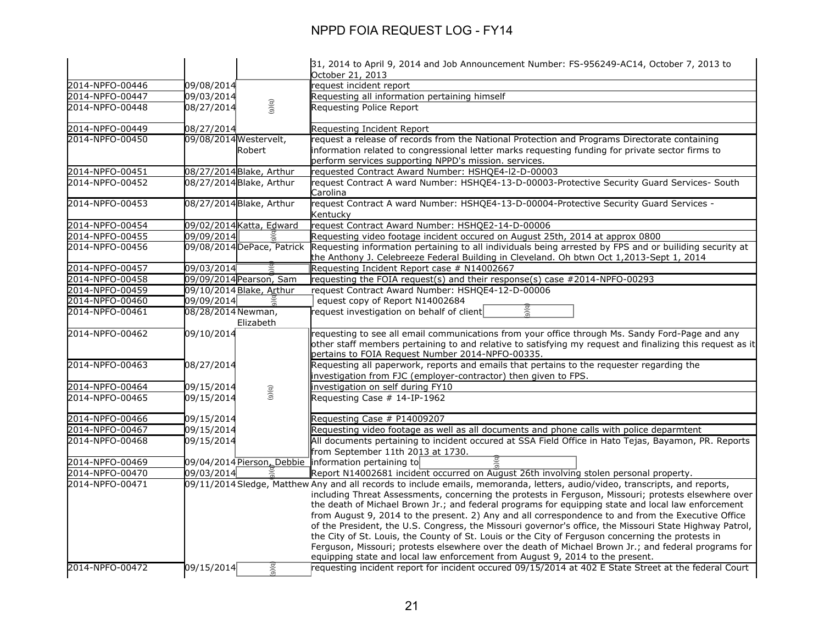|                                    |                        |                            | 31, 2014 to April 9, 2014 and Job Announcement Number: FS-956249-AC14, October 7, 2013 to                                                                                                                                                                                                                                                                                                                                                                                                                                                                                                                                                                                                                                                                                                                                                                 |
|------------------------------------|------------------------|----------------------------|-----------------------------------------------------------------------------------------------------------------------------------------------------------------------------------------------------------------------------------------------------------------------------------------------------------------------------------------------------------------------------------------------------------------------------------------------------------------------------------------------------------------------------------------------------------------------------------------------------------------------------------------------------------------------------------------------------------------------------------------------------------------------------------------------------------------------------------------------------------|
|                                    |                        |                            | October 21, 2013                                                                                                                                                                                                                                                                                                                                                                                                                                                                                                                                                                                                                                                                                                                                                                                                                                          |
| 2014-NPFO-00446                    | 09/08/2014             |                            | request incident report                                                                                                                                                                                                                                                                                                                                                                                                                                                                                                                                                                                                                                                                                                                                                                                                                                   |
| 2014-NPFO-00447                    | 09/03/2014             |                            | Requesting all information pertaining himself                                                                                                                                                                                                                                                                                                                                                                                                                                                                                                                                                                                                                                                                                                                                                                                                             |
| 2014-NPFO-00448                    | 08/27/2014             | (6)(6)                     | Requesting Police Report                                                                                                                                                                                                                                                                                                                                                                                                                                                                                                                                                                                                                                                                                                                                                                                                                                  |
| 2014-NPFO-00449                    | 08/27/2014             |                            | Requesting Incident Report                                                                                                                                                                                                                                                                                                                                                                                                                                                                                                                                                                                                                                                                                                                                                                                                                                |
| 2014-NPFO-00450                    | 09/08/2014 Westervelt, |                            | request a release of records from the National Protection and Programs Directorate containing                                                                                                                                                                                                                                                                                                                                                                                                                                                                                                                                                                                                                                                                                                                                                             |
|                                    |                        | Robert                     | information related to congressional letter marks requesting funding for private sector firms to<br>perform services supporting NPPD's mission. services.                                                                                                                                                                                                                                                                                                                                                                                                                                                                                                                                                                                                                                                                                                 |
| 2014-NPFO-00451                    |                        | 08/27/2014 Blake, Arthur   | requested Contract Award Number: HSHQE4-I2-D-00003                                                                                                                                                                                                                                                                                                                                                                                                                                                                                                                                                                                                                                                                                                                                                                                                        |
| 2014-NPFO-00452                    |                        | 08/27/2014 Blake, Arthur   | request Contract A ward Number: HSHQE4-13-D-00003-Protective Security Guard Services- South<br>Carolina                                                                                                                                                                                                                                                                                                                                                                                                                                                                                                                                                                                                                                                                                                                                                   |
| 2014-NPFO-00453                    |                        | 08/27/2014 Blake, Arthur   | request Contract A ward Number: HSHQE4-13-D-00004-Protective Security Guard Services -                                                                                                                                                                                                                                                                                                                                                                                                                                                                                                                                                                                                                                                                                                                                                                    |
|                                    |                        |                            | Kentucky                                                                                                                                                                                                                                                                                                                                                                                                                                                                                                                                                                                                                                                                                                                                                                                                                                                  |
| 2014-NPFO-00454                    |                        | 09/02/2014 Katta, Edward   | request Contract Award Number: HSHQE2-14-D-00006                                                                                                                                                                                                                                                                                                                                                                                                                                                                                                                                                                                                                                                                                                                                                                                                          |
| 2014-NPFO-00455                    | 09/09/2014             |                            | Requesting video footage incident occured on August 25th, 2014 at approx 0800                                                                                                                                                                                                                                                                                                                                                                                                                                                                                                                                                                                                                                                                                                                                                                             |
| 2014-NPFO-00456                    |                        | 09/08/2014 DePace, Patrick | Requesting information pertaining to all individuals being arrested by FPS and or builiding security at                                                                                                                                                                                                                                                                                                                                                                                                                                                                                                                                                                                                                                                                                                                                                   |
|                                    |                        |                            | the Anthony J. Celebreeze Federal Building in Cleveland. Oh btwn Oct 1,2013-Sept 1, 2014                                                                                                                                                                                                                                                                                                                                                                                                                                                                                                                                                                                                                                                                                                                                                                  |
| 2014-NPFO-00457                    | 09/03/2014             | 09/09/2014 Pearson, Sam    | Requesting Incident Report case # N14002667                                                                                                                                                                                                                                                                                                                                                                                                                                                                                                                                                                                                                                                                                                                                                                                                               |
| 2014-NPFO-00458<br>2014-NPFO-00459 |                        | 09/10/2014 Blake, Arthur   | requesting the FOIA request(s) and their response(s) case #2014-NPFO-00293<br>request Contract Award Number: HSHQE4-12-D-00006                                                                                                                                                                                                                                                                                                                                                                                                                                                                                                                                                                                                                                                                                                                            |
| 2014-NPFO-00460                    | 09/09/2014             |                            | equest copy of Report N14002684                                                                                                                                                                                                                                                                                                                                                                                                                                                                                                                                                                                                                                                                                                                                                                                                                           |
| 2014-NPFO-00461                    | 08/28/2014 Newman,     |                            | request investigation on behalf of client                                                                                                                                                                                                                                                                                                                                                                                                                                                                                                                                                                                                                                                                                                                                                                                                                 |
|                                    |                        | Elizabeth                  |                                                                                                                                                                                                                                                                                                                                                                                                                                                                                                                                                                                                                                                                                                                                                                                                                                                           |
| 2014-NPFO-00462                    | 09/10/2014             |                            | requesting to see all email communications from your office through Ms. Sandy Ford-Page and any                                                                                                                                                                                                                                                                                                                                                                                                                                                                                                                                                                                                                                                                                                                                                           |
|                                    |                        |                            | other staff members pertaining to and relative to satisfying my request and finalizing this request as it                                                                                                                                                                                                                                                                                                                                                                                                                                                                                                                                                                                                                                                                                                                                                 |
|                                    |                        |                            | pertains to FOIA Request Number 2014-NPFO-00335.                                                                                                                                                                                                                                                                                                                                                                                                                                                                                                                                                                                                                                                                                                                                                                                                          |
| 2014-NPFO-00463                    | 08/27/2014             |                            | Requesting all paperwork, reports and emails that pertains to the requester regarding the                                                                                                                                                                                                                                                                                                                                                                                                                                                                                                                                                                                                                                                                                                                                                                 |
|                                    |                        |                            | investigation from FJC (employer-contractor) then given to FPS.                                                                                                                                                                                                                                                                                                                                                                                                                                                                                                                                                                                                                                                                                                                                                                                           |
| 2014-NPFO-00464                    | 09/15/2014             |                            | investigation on self during FY10                                                                                                                                                                                                                                                                                                                                                                                                                                                                                                                                                                                                                                                                                                                                                                                                                         |
| 2014-NPFO-00465                    | 09/15/2014             | (5)(6)                     | Requesting Case # 14-IP-1962                                                                                                                                                                                                                                                                                                                                                                                                                                                                                                                                                                                                                                                                                                                                                                                                                              |
|                                    |                        |                            |                                                                                                                                                                                                                                                                                                                                                                                                                                                                                                                                                                                                                                                                                                                                                                                                                                                           |
| 2014-NPFO-00466                    | 09/15/2014             |                            | Requesting Case # P14009207                                                                                                                                                                                                                                                                                                                                                                                                                                                                                                                                                                                                                                                                                                                                                                                                                               |
| 2014-NPFO-00467                    | 09/15/2014             |                            | Requesting video footage as well as all documents and phone calls with police deparmtent                                                                                                                                                                                                                                                                                                                                                                                                                                                                                                                                                                                                                                                                                                                                                                  |
| 2014-NPFO-00468                    | 09/15/2014             |                            | All documents pertaining to incident occured at SSA Field Office in Hato Tejas, Bayamon, PR. Reports                                                                                                                                                                                                                                                                                                                                                                                                                                                                                                                                                                                                                                                                                                                                                      |
|                                    |                        |                            | from September 11th 2013 at 1730.                                                                                                                                                                                                                                                                                                                                                                                                                                                                                                                                                                                                                                                                                                                                                                                                                         |
| 2014-NPFO-00469                    |                        |                            | 09/04/2014 Pierson, Debbie   information pertaining to                                                                                                                                                                                                                                                                                                                                                                                                                                                                                                                                                                                                                                                                                                                                                                                                    |
| 2014-NPFO-00470                    | 09/03/2014             |                            | Report N14002681 incident occurred on August 26th involving stolen personal property.                                                                                                                                                                                                                                                                                                                                                                                                                                                                                                                                                                                                                                                                                                                                                                     |
| 2014-NPFO-00471                    |                        |                            | 09/11/2014 Sledge, Matthew Any and all records to include emails, memoranda, letters, audio/video, transcripts, and reports,<br>including Threat Assessments, concerning the protests in Ferguson, Missouri; protests elsewhere over<br>the death of Michael Brown Jr.; and federal programs for equipping state and local law enforcement<br>from August 9, 2014 to the present. 2) Any and all correspondence to and from the Executive Office<br>of the President, the U.S. Congress, the Missouri governor's office, the Missouri State Highway Patrol,<br>the City of St. Louis, the County of St. Louis or the City of Ferguson concerning the protests in<br>Ferguson, Missouri; protests elsewhere over the death of Michael Brown Jr.; and federal programs for<br>equipping state and local law enforcement from August 9, 2014 to the present. |
| 2014-NPFO-00472                    | 09/15/2014             | $\mathbf{b}(\mathbf{c})$   | requesting incident report for incident occured 09/15/2014 at 402 E State Street at the federal Court                                                                                                                                                                                                                                                                                                                                                                                                                                                                                                                                                                                                                                                                                                                                                     |